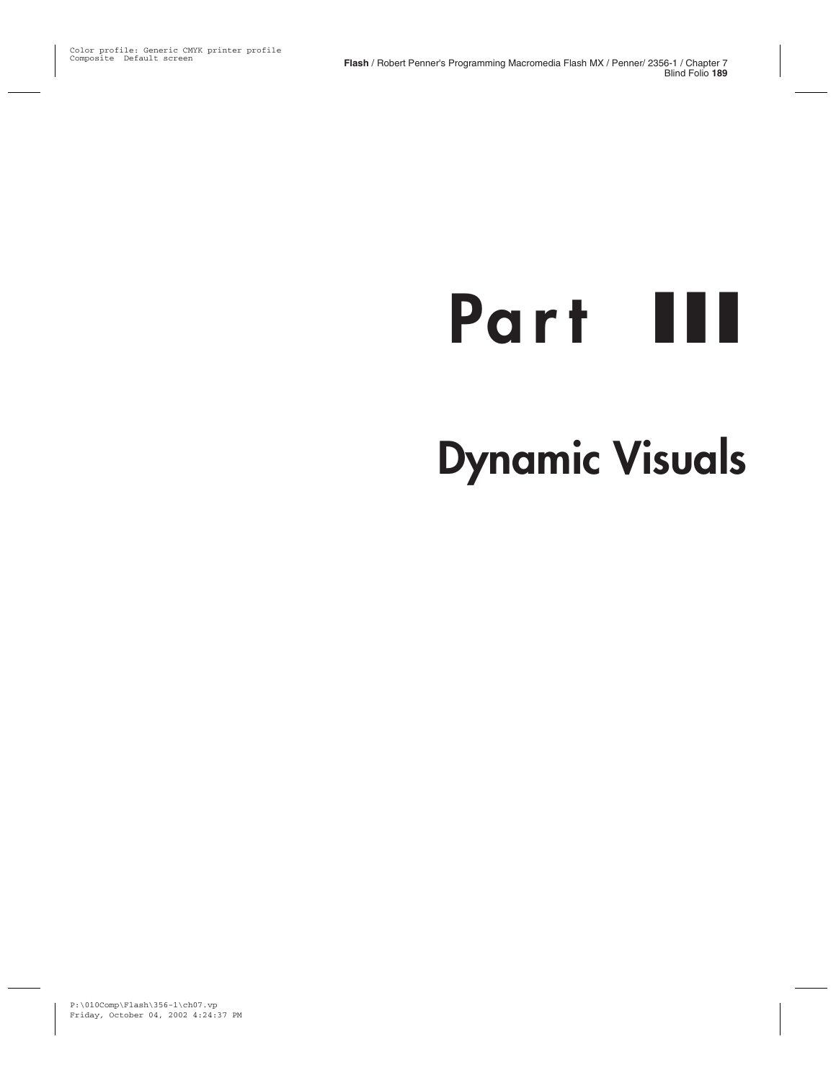# **Part** III

## **Dynamic Visuals**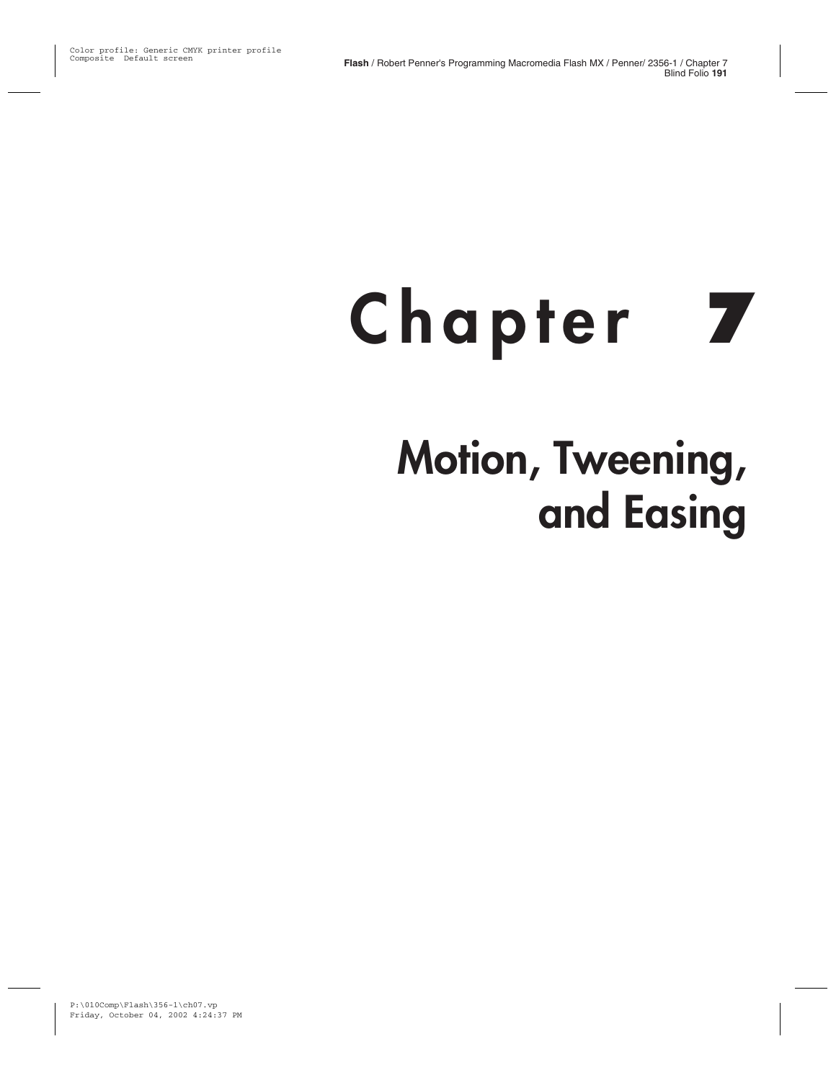# **Chapter** 7 **Motion, Tweening, and Easing**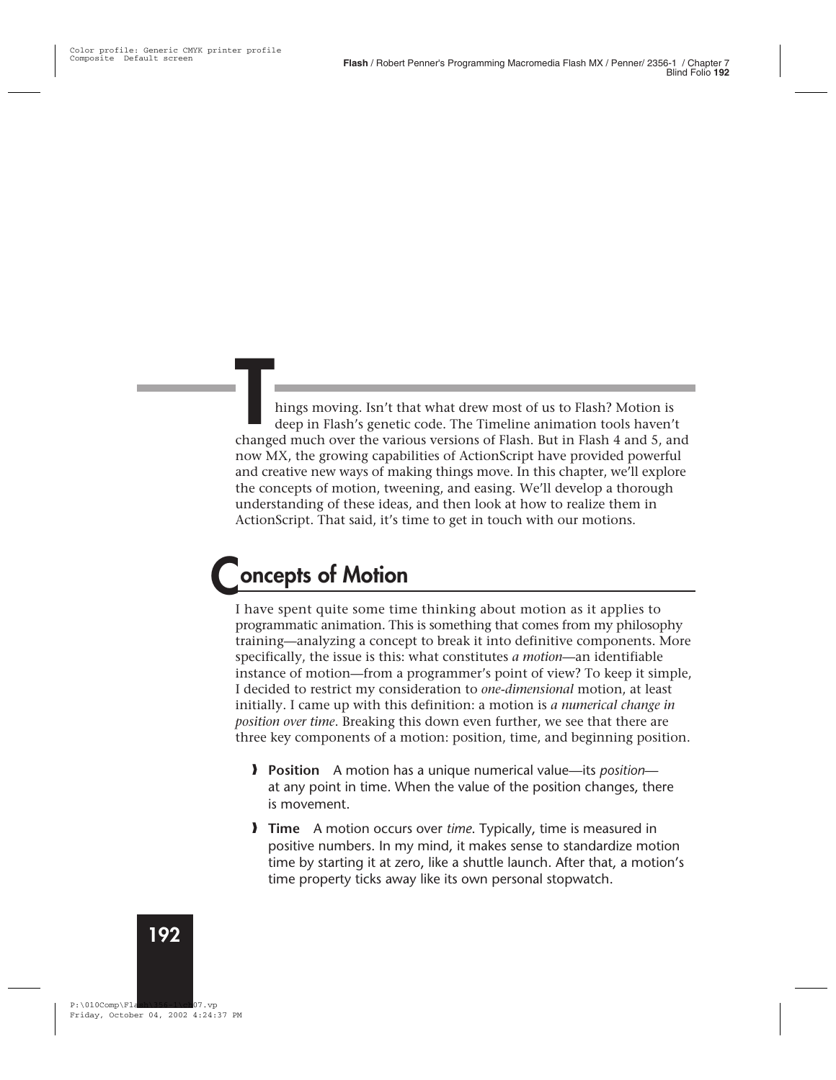hings moving. Isn't that what drew most of us to Flash? Motion is deep in Flash's genetic code. The Timeline animation tools haven't changed much over the various versions of Flash. But in Flash 4 and 5, and now MX, the growing capabilities of ActionScript have provided powerful and creative new ways of making things move. In this chapter, we'll explore the concepts of motion, tweening, and easing. We'll develop a thorough understanding of these ideas, and then look at how to realize them in ActionScript. That said, it's time to get in touch with our motions.

## **Concepts of Motion**

I have spent quite some time thinking about motion as it applies to programmatic animation. This is something that comes from my philosophy training—analyzing a concept to break it into definitive components. More specifically, the issue is this: what constitutes *a motion*—an identifiable instance of motion—from a programmer's point of view? To keep it simple, I decided to restrict my consideration to *one-dimensional* motion, at least initially. I came up with this definition: a motion is *a numerical change in position over time*. Breaking this down even further, we see that there are three key components of a motion: position, time, and beginning position.

- **Position** A motion has a unique numerical value—its *position* at any point in time. When the value of the position changes, there is movement.
- **Time** A motion occurs over *time*. Typically, time is measured in positive numbers. In my mind, it makes sense to standardize motion time by starting it at zero, like a shuttle launch. After that, a motion's time property ticks away like its own personal stopwatch.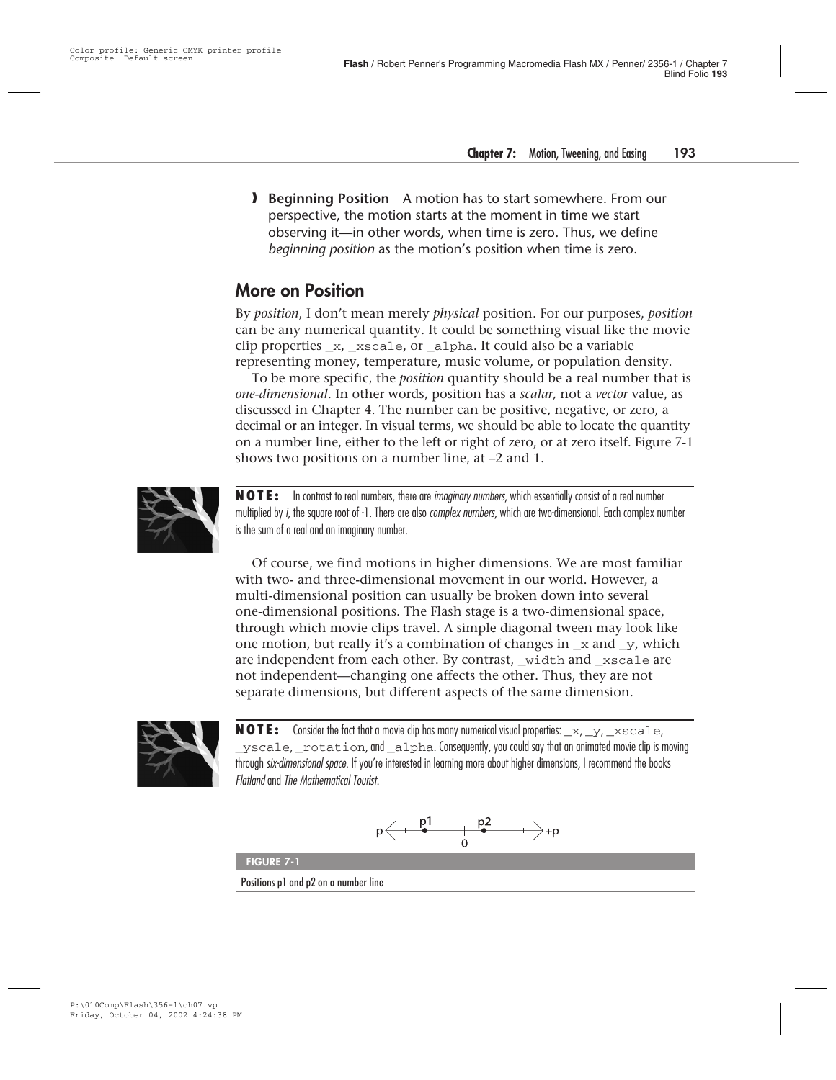**Beginning Position** A motion has to start somewhere. From our perspective, the motion starts at the moment in time we start observing it—in other words, when time is zero. Thus, we define *beginning position* as the motion's position when time is zero.

#### **More on Position**

By *position*, I don't mean merely *physical* position. For our purposes, *position* can be any numerical quantity. It could be something visual like the movie clip properties \_x, \_xscale, or \_alpha. It could also be a variable representing money, temperature, music volume, or population density.

To be more specific, the *position* quantity should be a real number that is *one-dimensional*. In other words, position has a *scalar,* not a *vector* value, as discussed in Chapter 4. The number can be positive, negative, or zero, a decimal or an integer. In visual terms, we should be able to locate the quantity on a number line, either to the left or right of zero, or at zero itself. Figure 7-1 shows two positions on a number line, at –2 and 1.



**NOTE:** In contrast to real numbers, there are imaginary numbers, which essentially consist of a real number multiplied by i, the square root of -1. There are also *complex numbers*, which are two-dimensional. Each complex number is the sum of a real and an imaginary number.

Of course, we find motions in higher dimensions. We are most familiar with two- and three-dimensional movement in our world. However, a multi-dimensional position can usually be broken down into several one-dimensional positions. The Flash stage is a two-dimensional space, through which movie clips travel. A simple diagonal tween may look like one motion, but really it's a combination of changes in  $\bar{x}$  and  $\bar{y}$ , which are independent from each other. By contrast, \_width and \_xscale are not independent—changing one affects the other. Thus, they are not separate dimensions, but different aspects of the same dimension.



**NOTE:** Consider the fact that a movie clip has many numerical visual properties: \_x, \_y, \_xscale,  $y<sub>scale</sub>$  rotation, and alpha. Consequently, you could say that an animated movie clip is moving through six-dimensional space. If you're interested in learning more about higher dimensions, I recommend the books Flatland and The Mathematical Tourist.

$$
-p \leftarrow \xrightarrow{\quad p1\quad \quad p2\quad \quad p2\quad \quad \rightarrow +p}
$$

**FIGURE 7-1**

Positions p1 and p2 on a number line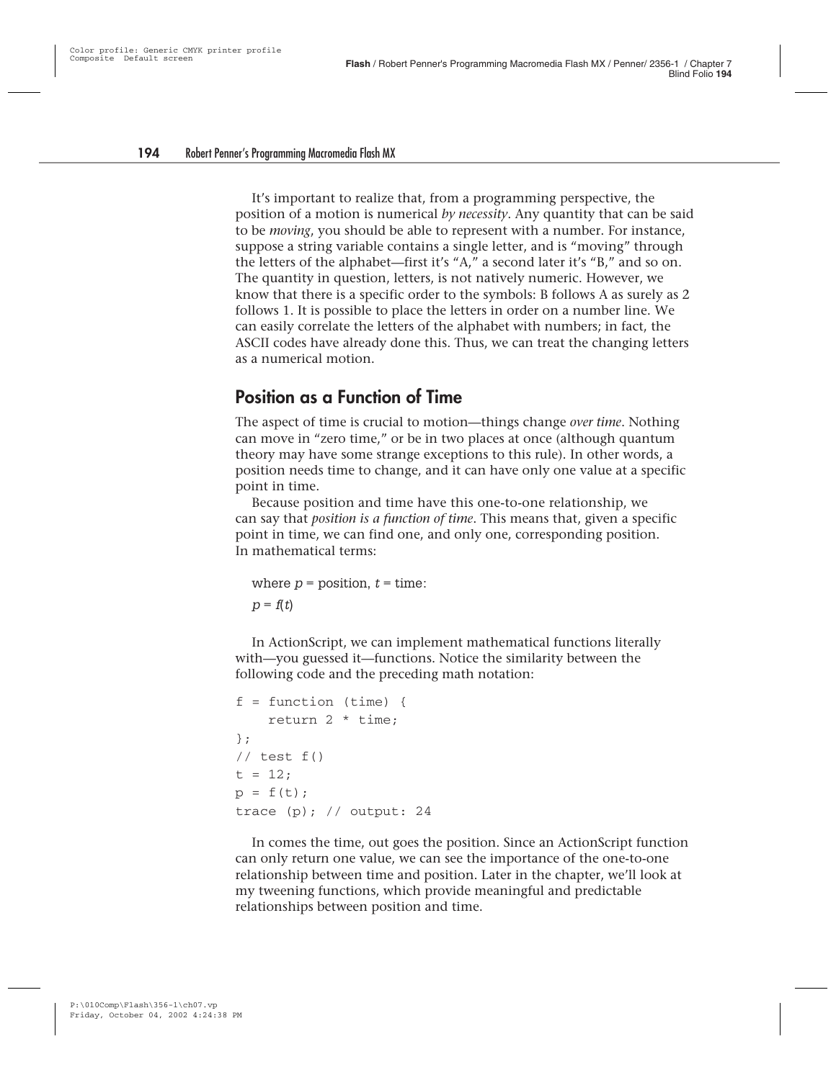It's important to realize that, from a programming perspective, the position of a motion is numerical *by necessity*. Any quantity that can be said to be *moving*, you should be able to represent with a number. For instance, suppose a string variable contains a single letter, and is "moving" through the letters of the alphabet—first it's "A," a second later it's "B," and so on. The quantity in question, letters, is not natively numeric. However, we know that there is a specific order to the symbols: B follows A as surely as 2 follows 1. It is possible to place the letters in order on a number line. We can easily correlate the letters of the alphabet with numbers; in fact, the ASCII codes have already done this. Thus, we can treat the changing letters as a numerical motion.

#### **Position as a Function of Time**

The aspect of time is crucial to motion—things change *over time*. Nothing can move in "zero time," or be in two places at once (although quantum theory may have some strange exceptions to this rule). In other words, a position needs time to change, and it can have only one value at a specific point in time.

Because position and time have this one-to-one relationship, we can say that *position is a function of time*. This means that, given a specific point in time, we can find one, and only one, corresponding position. In mathematical terms:

```
where p = position, t = time:
p = f(t)
```
In ActionScript, we can implement mathematical functions literally with—you guessed it—functions. Notice the similarity between the following code and the preceding math notation:

```
f = function (time)return 2 * time;
};
// test f()
t = 12;
p = f(t);trace (p); // output: 24
```
In comes the time, out goes the position. Since an ActionScript function can only return one value, we can see the importance of the one-to-one relationship between time and position. Later in the chapter, we'll look at my tweening functions, which provide meaningful and predictable relationships between position and time.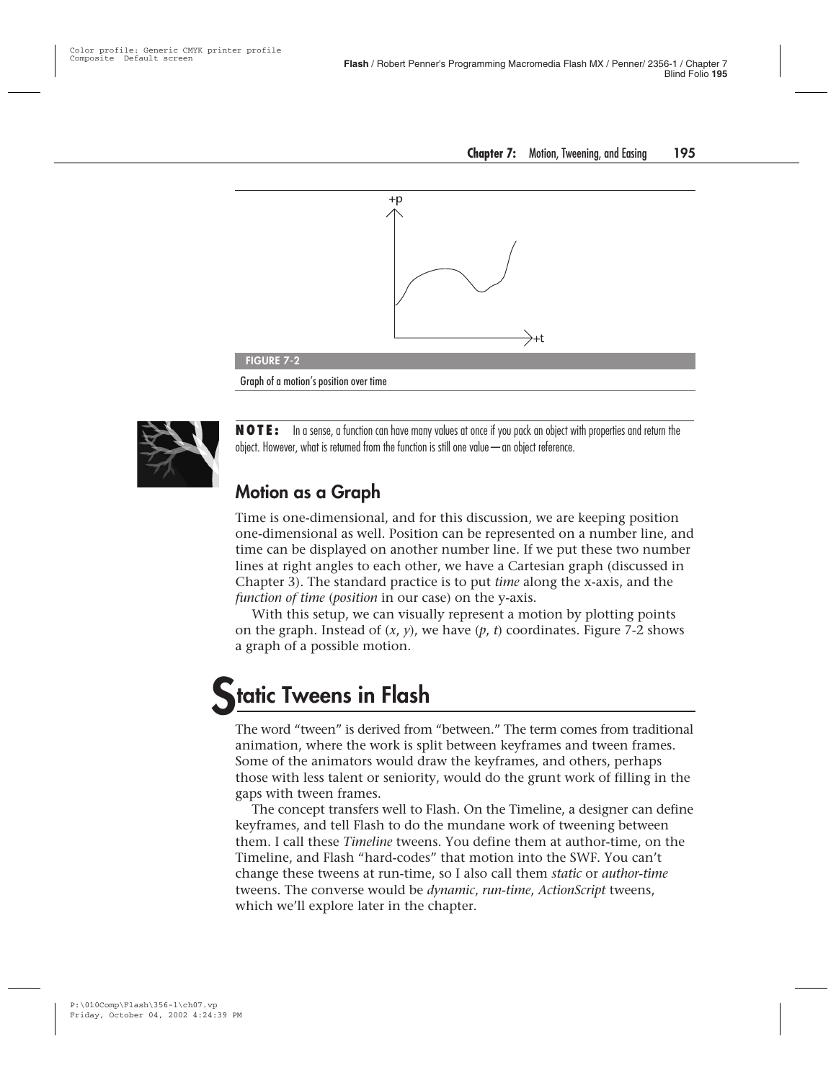



**NOTE:** In a sense, a function can have many values at once if you pack an object with properties and return the object. However, what is returned from the function is still one value—an object reference.

#### **Motion as a Graph**

Time is one-dimensional, and for this discussion, we are keeping position one-dimensional as well. Position can be represented on a number line, and time can be displayed on another number line. If we put these two number lines at right angles to each other, we have a Cartesian graph (discussed in Chapter 3). The standard practice is to put *time* along the x-axis, and the *function of time* (*position* in our case) on the y-axis.

With this setup, we can visually represent a motion by plotting points on the graph. Instead of (*x*, *y*), we have (*p*, *t*) coordinates. Figure 7-2 shows a graph of a possible motion.

## **Static Tweens in Flash**

The word "tween" is derived from "between." The term comes from traditional animation, where the work is split between keyframes and tween frames. Some of the animators would draw the keyframes, and others, perhaps those with less talent or seniority, would do the grunt work of filling in the gaps with tween frames.

The concept transfers well to Flash. On the Timeline, a designer can define keyframes, and tell Flash to do the mundane work of tweening between them. I call these *Timeline* tweens. You define them at author-time, on the Timeline, and Flash "hard-codes" that motion into the SWF. You can't change these tweens at run-time, so I also call them *static* or *author-time* tweens. The converse would be *dynamic*, *run-time*, *ActionScript* tweens, which we'll explore later in the chapter.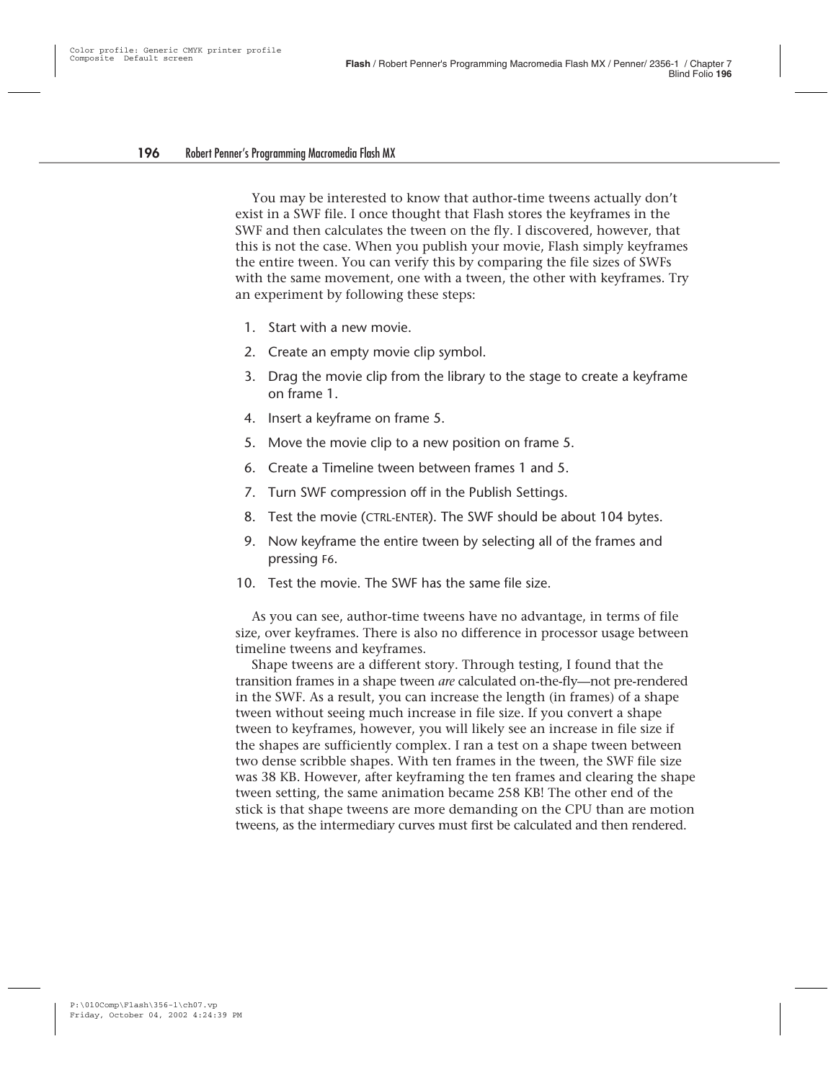You may be interested to know that author-time tweens actually don't exist in a SWF file. I once thought that Flash stores the keyframes in the SWF and then calculates the tween on the fly. I discovered, however, that this is not the case. When you publish your movie, Flash simply keyframes the entire tween. You can verify this by comparing the file sizes of SWFs with the same movement, one with a tween, the other with keyframes. Try an experiment by following these steps:

- 1. Start with a new movie.
- 2. Create an empty movie clip symbol.
- 3. Drag the movie clip from the library to the stage to create a keyframe on frame 1.
- 4. Insert a keyframe on frame 5.
- 5. Move the movie clip to a new position on frame 5.
- 6. Create a Timeline tween between frames 1 and 5.
- 7. Turn SWF compression off in the Publish Settings.
- 8. Test the movie (CTRL-ENTER). The SWF should be about 104 bytes.
- 9. Now keyframe the entire tween by selecting all of the frames and pressing F6.
- 10. Test the movie. The SWF has the same file size.

As you can see, author-time tweens have no advantage, in terms of file size, over keyframes. There is also no difference in processor usage between timeline tweens and keyframes.

Shape tweens are a different story. Through testing, I found that the transition frames in a shape tween *are* calculated on-the-fly—not pre-rendered in the SWF. As a result, you can increase the length (in frames) of a shape tween without seeing much increase in file size. If you convert a shape tween to keyframes, however, you will likely see an increase in file size if the shapes are sufficiently complex. I ran a test on a shape tween between two dense scribble shapes. With ten frames in the tween, the SWF file size was 38 KB. However, after keyframing the ten frames and clearing the shape tween setting, the same animation became 258 KB! The other end of the stick is that shape tweens are more demanding on the CPU than are motion tweens, as the intermediary curves must first be calculated and then rendered.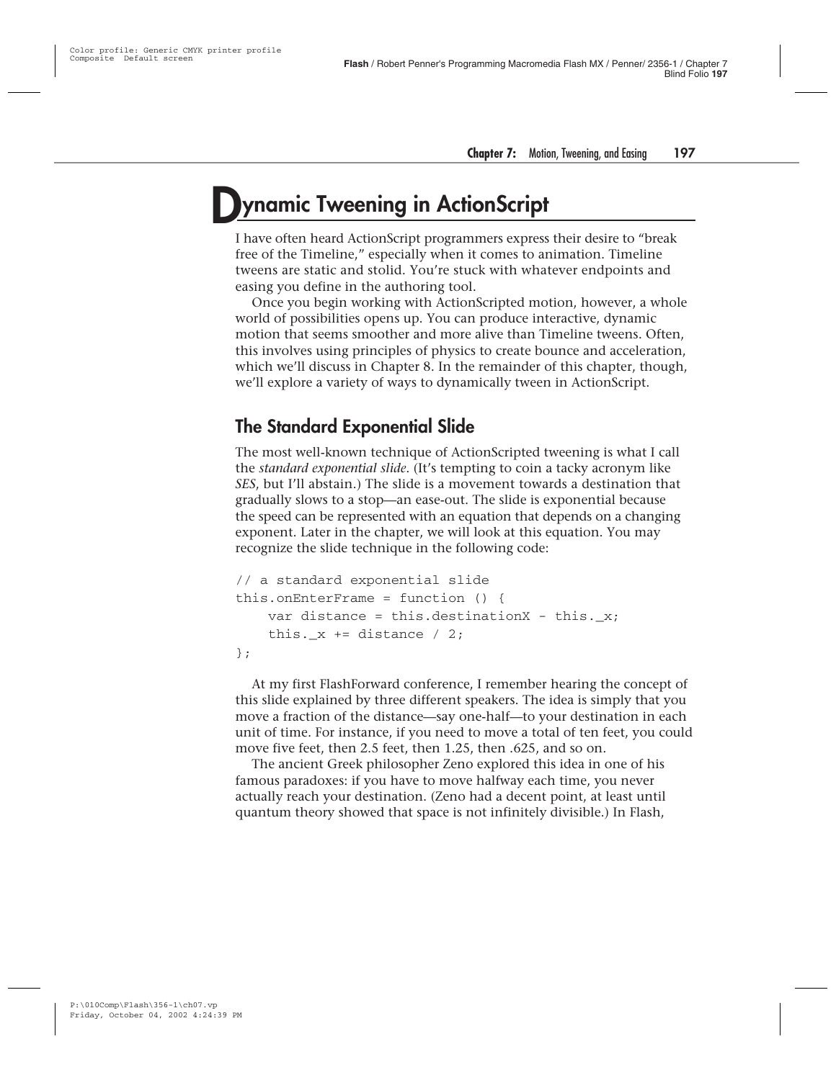### **Dynamic Tweening in ActionScript**

I have often heard ActionScript programmers express their desire to "break free of the Timeline," especially when it comes to animation. Timeline tweens are static and stolid. You're stuck with whatever endpoints and easing you define in the authoring tool.

Once you begin working with ActionScripted motion, however, a whole world of possibilities opens up. You can produce interactive, dynamic motion that seems smoother and more alive than Timeline tweens. Often, this involves using principles of physics to create bounce and acceleration, which we'll discuss in Chapter 8. In the remainder of this chapter, though, we'll explore a variety of ways to dynamically tween in ActionScript.

#### **The Standard Exponential Slide**

The most well-known technique of ActionScripted tweening is what I call the *standard exponential slide*. (It's tempting to coin a tacky acronym like *SES*, but I'll abstain.) The slide is a movement towards a destination that gradually slows to a stop—an ease-out. The slide is exponential because the speed can be represented with an equation that depends on a changing exponent. Later in the chapter, we will look at this equation. You may recognize the slide technique in the following code:

```
// a standard exponential slide
this.onEnterFrame = function () {
   var distance = this.destinationX - this. x;
    this. x == distance / 2;
};
```
At my first FlashForward conference, I remember hearing the concept of this slide explained by three different speakers. The idea is simply that you move a fraction of the distance—say one-half—to your destination in each unit of time. For instance, if you need to move a total of ten feet, you could move five feet, then 2.5 feet, then 1.25, then .625, and so on.

The ancient Greek philosopher Zeno explored this idea in one of his famous paradoxes: if you have to move halfway each time, you never actually reach your destination. (Zeno had a decent point, at least until quantum theory showed that space is not infinitely divisible.) In Flash,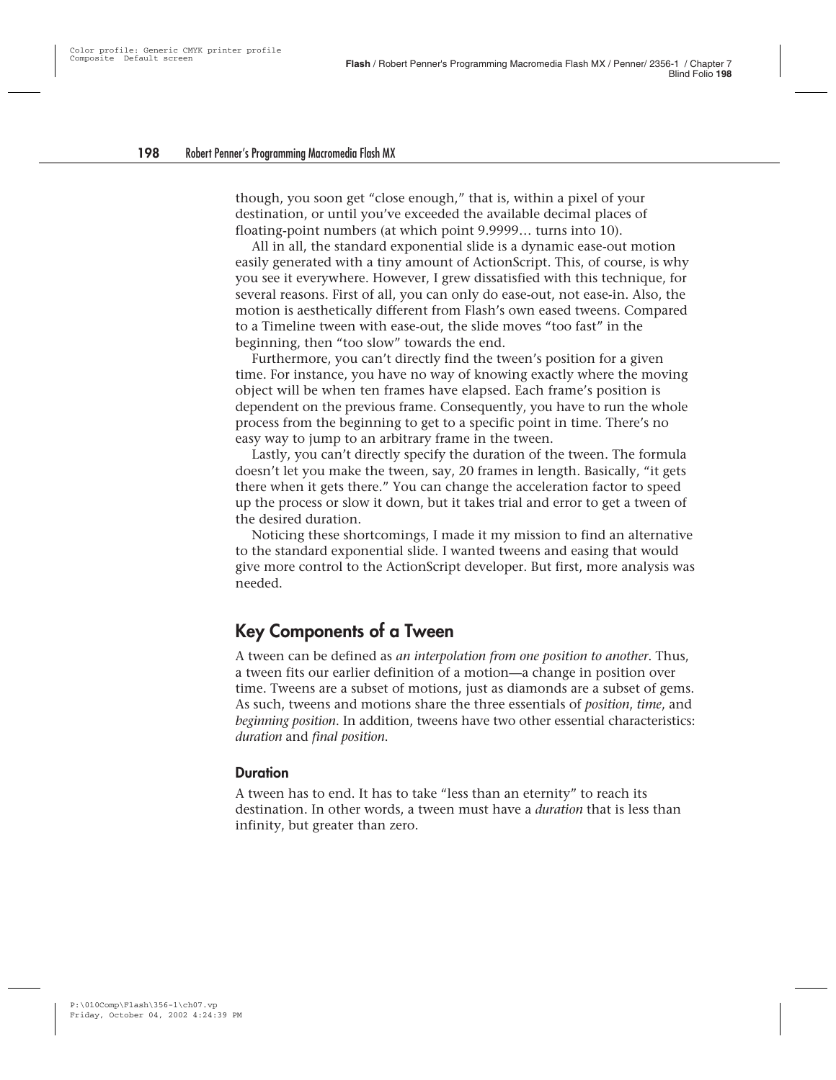though, you soon get "close enough," that is, within a pixel of your destination, or until you've exceeded the available decimal places of floating-point numbers (at which point 9.9999… turns into 10).

All in all, the standard exponential slide is a dynamic ease-out motion easily generated with a tiny amount of ActionScript. This, of course, is why you see it everywhere. However, I grew dissatisfied with this technique, for several reasons. First of all, you can only do ease-out, not ease-in. Also, the motion is aesthetically different from Flash's own eased tweens. Compared to a Timeline tween with ease-out, the slide moves "too fast" in the beginning, then "too slow" towards the end.

Furthermore, you can't directly find the tween's position for a given time. For instance, you have no way of knowing exactly where the moving object will be when ten frames have elapsed. Each frame's position is dependent on the previous frame. Consequently, you have to run the whole process from the beginning to get to a specific point in time. There's no easy way to jump to an arbitrary frame in the tween.

Lastly, you can't directly specify the duration of the tween. The formula doesn't let you make the tween, say, 20 frames in length. Basically, "it gets there when it gets there." You can change the acceleration factor to speed up the process or slow it down, but it takes trial and error to get a tween of the desired duration.

Noticing these shortcomings, I made it my mission to find an alternative to the standard exponential slide. I wanted tweens and easing that would give more control to the ActionScript developer. But first, more analysis was needed.

#### **Key Components of a Tween**

A tween can be defined as *an interpolation from one position to another*. Thus, a tween fits our earlier definition of a motion—a change in position over time. Tweens are a subset of motions, just as diamonds are a subset of gems. As such, tweens and motions share the three essentials of *position*, *time*, and *beginning position*. In addition, tweens have two other essential characteristics: *duration* and *final position*.

#### **Duration**

A tween has to end. It has to take "less than an eternity" to reach its destination. In other words, a tween must have a *duration* that is less than infinity, but greater than zero.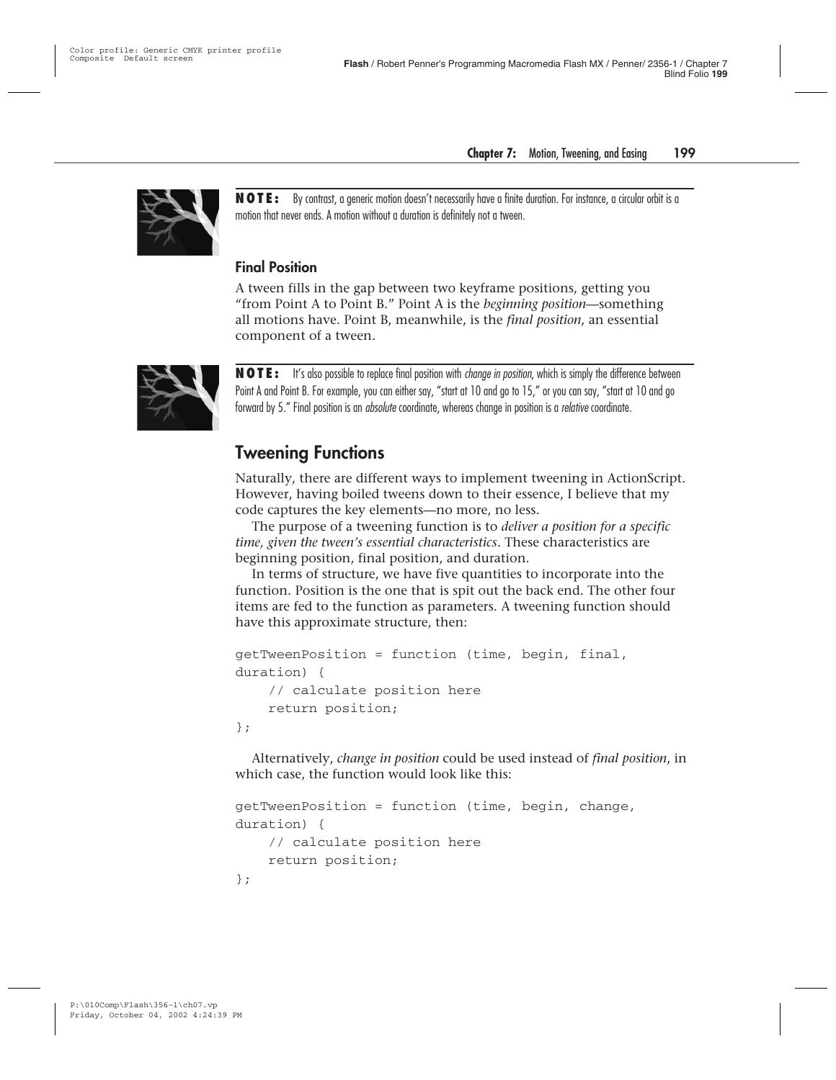

**NOTE:** By contrast, a generic motion doesn't necessarily have a finite duration. For instance, a circular orbit is a motion that never ends. A motion without a duration is definitely not a tween.

#### **Final Position**

A tween fills in the gap between two keyframe positions, getting you "from Point A to Point B." Point A is the *beginning position*—something all motions have. Point B, meanwhile, is the *final position*, an essential component of a tween.



**NOTE:** It's also possible to replace final position with change in position, which is simply the difference between Point A and Point B. For example, you can either say, "start at 10 and go to 15," or you can say, "start at 10 and go forward by 5." Final position is an *absolute* coordinate, whereas change in position is a *relative* coordinate.

#### **Tweening Functions**

Naturally, there are different ways to implement tweening in ActionScript. However, having boiled tweens down to their essence, I believe that my code captures the key elements—no more, no less.

The purpose of a tweening function is to *deliver a position for a specific time, given the tween's essential characteristics.* These characteristics are beginning position, final position, and duration.

In terms of structure, we have five quantities to incorporate into the function. Position is the one that is spit out the back end. The other four items are fed to the function as parameters. A tweening function should have this approximate structure, then:

```
getTweenPosition = function (time, begin, final,
duration) {
    // calculate position here
    return position;
};
```
Alternatively, *change in position* could be used instead of *final position*, in which case, the function would look like this:

```
getTweenPosition = function (time, begin, change,
duration) {
    // calculate position here
    return position;
};
```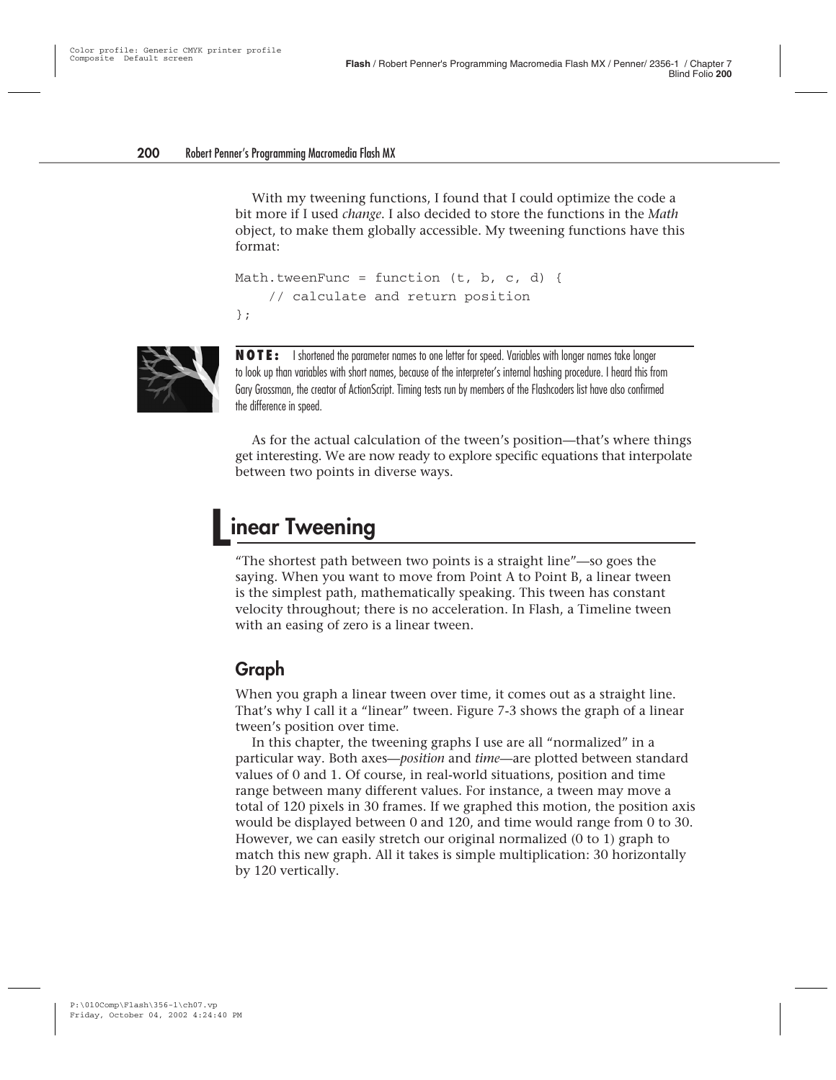With my tweening functions, I found that I could optimize the code a bit more if I used *change*. I also decided to store the functions in the *Math* object, to make them globally accessible. My tweening functions have this format:

```
Math.tweenFunc = function (t, b, c, d) {
    // calculate and return position
};
```


**NOTE:** I shortened the parameter names to one letter for speed. Variables with longer names take longer to look up than variables with short names, because of the interpreter's internal hashing procedure. I heard this from Gary Grossman, the creator of ActionScript. Timing tests run by members of the Flashcoders list have also confirmed the difference in speed.

As for the actual calculation of the tween's position—that's where things get interesting. We are now ready to explore specific equations that interpolate between two points in diverse ways.

## **Linear Tweening**

"The shortest path between two points is a straight line"—so goes the saying. When you want to move from Point A to Point B, a linear tween is the simplest path, mathematically speaking. This tween has constant velocity throughout; there is no acceleration. In Flash, a Timeline tween with an easing of zero is a linear tween.

#### **Graph**

When you graph a linear tween over time, it comes out as a straight line. That's why I call it a "linear" tween. Figure 7-3 shows the graph of a linear tween's position over time.

In this chapter, the tweening graphs I use are all "normalized" in a particular way. Both axes—*position* and *time*—are plotted between standard values of 0 and 1. Of course, in real-world situations, position and time range between many different values. For instance, a tween may move a total of 120 pixels in 30 frames. If we graphed this motion, the position axis would be displayed between 0 and 120, and time would range from 0 to 30. However, we can easily stretch our original normalized (0 to 1) graph to match this new graph. All it takes is simple multiplication: 30 horizontally by 120 vertically.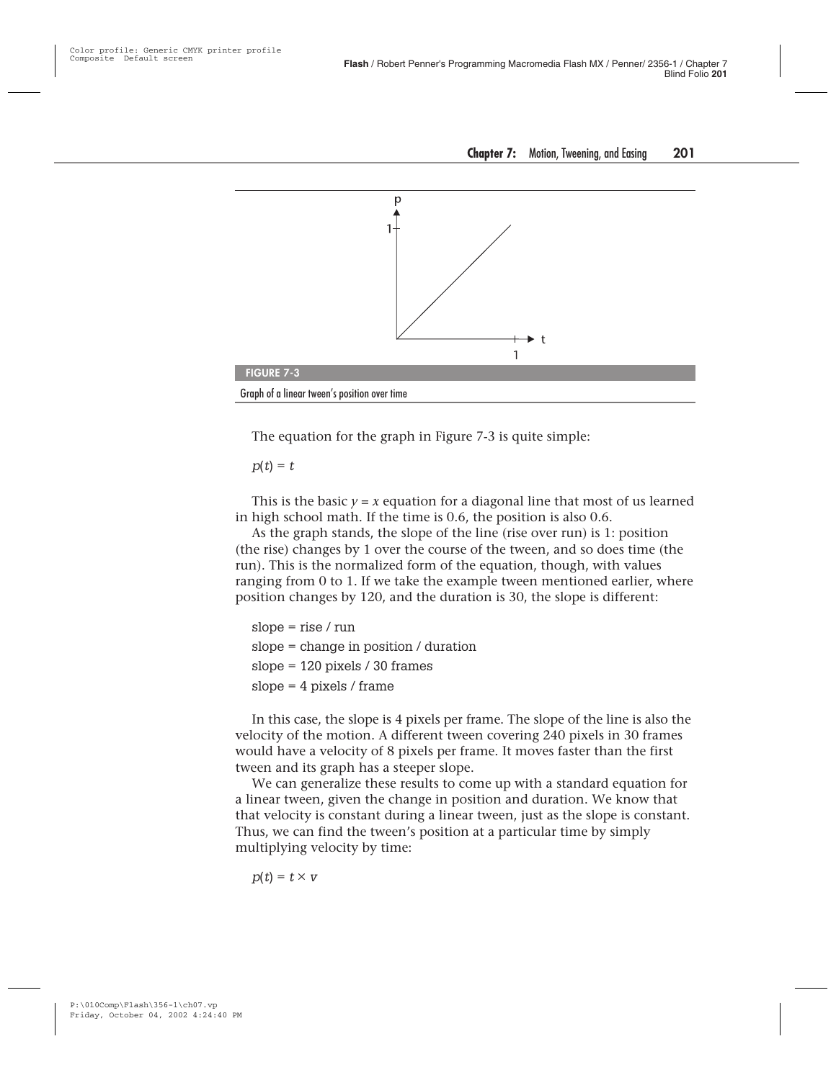

The equation for the graph in Figure 7-3 is quite simple:

 $p(t) = t$ 

This is the basic  $y = x$  equation for a diagonal line that most of us learned in high school math. If the time is 0.6, the position is also 0.6.

As the graph stands, the slope of the line (rise over run) is 1: position (the rise) changes by 1 over the course of the tween, and so does time (the run). This is the normalized form of the equation, though, with values ranging from 0 to 1. If we take the example tween mentioned earlier, where position changes by 120, and the duration is 30, the slope is different:

```
slope = rise / run
slope = change in position / duration
slope = 120 pixels / 30 frames
slope = 4 pixels / frame
```
In this case, the slope is 4 pixels per frame. The slope of the line is also the velocity of the motion. A different tween covering 240 pixels in 30 frames would have a velocity of 8 pixels per frame. It moves faster than the first tween and its graph has a steeper slope.

We can generalize these results to come up with a standard equation for a linear tween, given the change in position and duration. We know that that velocity is constant during a linear tween, just as the slope is constant. Thus, we can find the tween's position at a particular time by simply multiplying velocity by time:

 $p(t) = t \times v$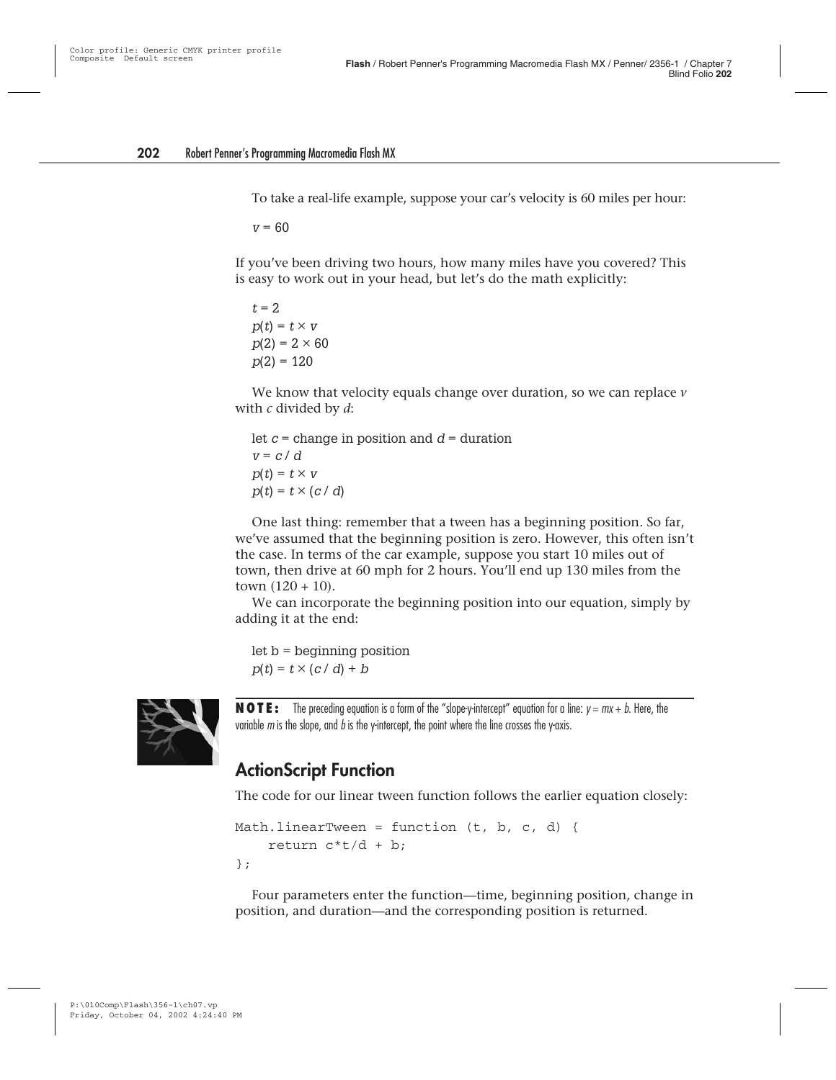To take a real-life example, suppose your car's velocity is 60 miles per hour:

 $v = 60$ 

If you've been driving two hours, how many miles have you covered? This is easy to work out in your head, but let's do the math explicitly:

 $t = 2$ .  $p(t) = t \times v$  $p(2) = 2 \times 60$  $p(2) = 120$ 

We know that velocity equals change over duration, so we can replace *v* with *c* divided by *d*:

let  $c =$  change in position and  $d =$  duration  $v = c / d$  $p(t) = t \times v$  $p(t) = t \times (c/d)$ 

One last thing: remember that a tween has a beginning position. So far, we've assumed that the beginning position is zero. However, this often isn't the case. In terms of the car example, suppose you start 10 miles out of town, then drive at 60 mph for 2 hours. You'll end up 130 miles from the town  $(120 + 10)$ .

We can incorporate the beginning position into our equation, simply by adding it at the end:

let b = beginning position  $p(t) = t \times (c/d) + b$ 



**NOTE:** The preceding equation is a form of the "slope-y-intercept" equation for a line:  $y = mx + b$ . Here, the variable  $m$  is the slope, and  $b$  is the y-intercept, the point where the line crosses the y-axis.

#### **ActionScript Function**

The code for our linear tween function follows the earlier equation closely:

```
Math.linearTween = function (t, b, c, d) {
    return c*t/d + b;
};
```
Four parameters enter the function—time, beginning position, change in position, and duration—and the corresponding position is returned.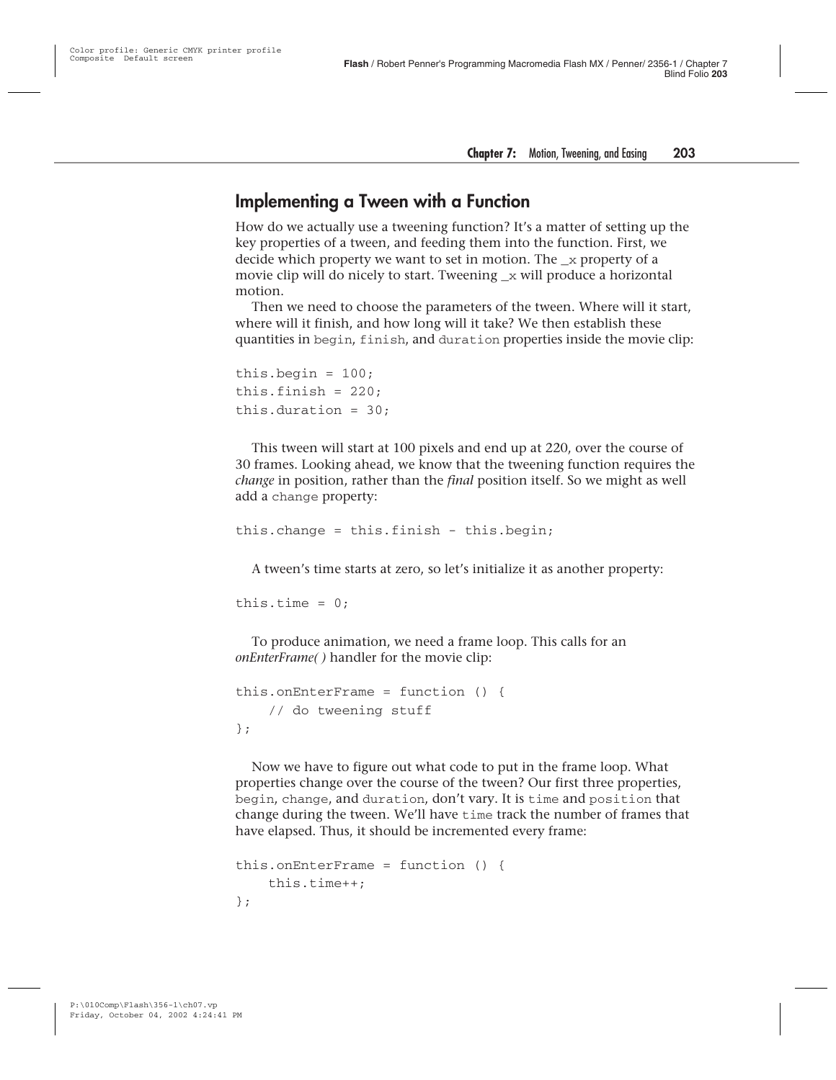#### **Implementing a Tween with a Function**

How do we actually use a tweening function? It's a matter of setting up the key properties of a tween, and feeding them into the function. First, we decide which property we want to set in motion. The  $\bar{x}$  property of a movie clip will do nicely to start. Tweening \_x will produce a horizontal motion.

Then we need to choose the parameters of the tween. Where will it start, where will it finish, and how long will it take? We then establish these quantities in begin, finish, and duration properties inside the movie clip:

```
this.begin = 100;
this.finish = 220;
this.duration = 30:
```
This tween will start at 100 pixels and end up at 220, over the course of 30 frames. Looking ahead, we know that the tweening function requires the *change* in position, rather than the *final* position itself. So we might as well add a change property:

```
this.change = this.finish - this.begin;
```
A tween's time starts at zero, so let's initialize it as another property:

```
this.time = 0;
```
To produce animation, we need a frame loop. This calls for an *onEnterFrame( )* handler for the movie clip:

```
this.onEnterFrame = function () {
    // do tweening stuff
};
```
Now we have to figure out what code to put in the frame loop. What properties change over the course of the tween? Our first three properties, begin, change, and duration, don't vary. It is time and position that change during the tween. We'll have time track the number of frames that have elapsed. Thus, it should be incremented every frame:

```
this.onEnterFrame = function () {
    this.time++;
};
```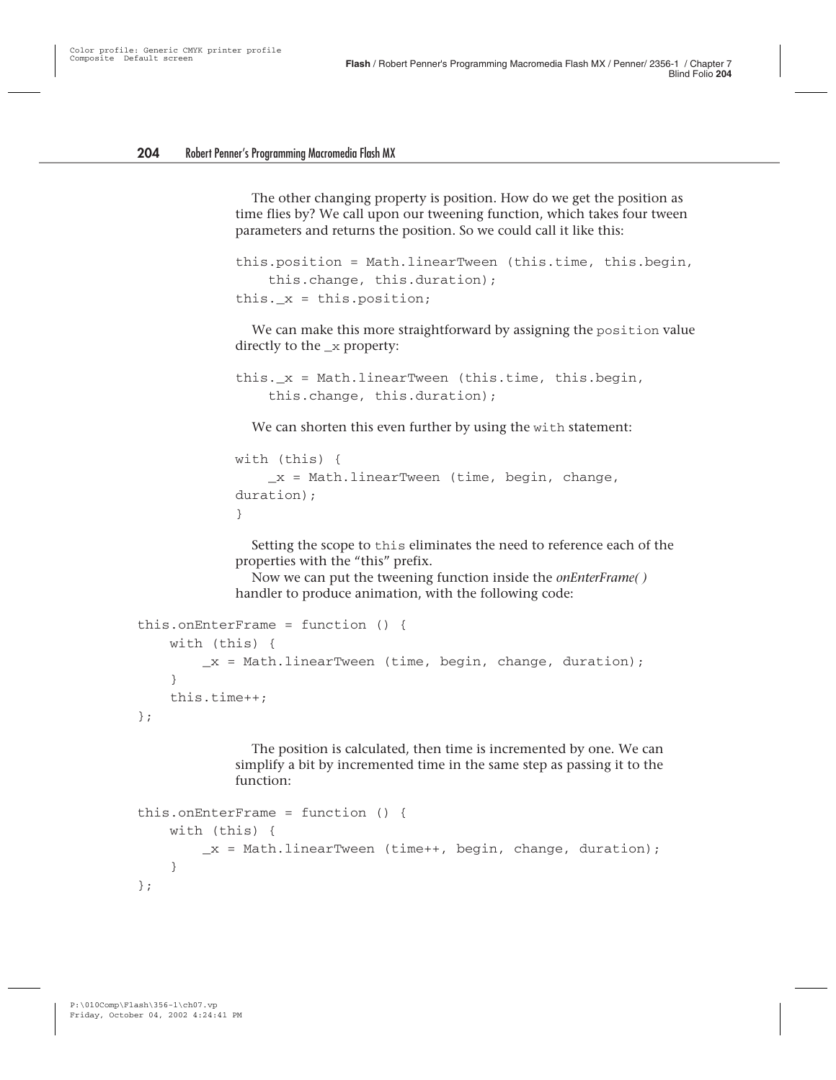The other changing property is position. How do we get the position as time flies by? We call upon our tweening function, which takes four tween parameters and returns the position. So we could call it like this:

```
this.position = Math.linearTween (this.time, this.begin,
    this.change, this.duration);
this. x = this.position;
```
We can make this more straightforward by assigning the position value directly to the  $\mathbf x$  property:

```
this. x = Mathu.linearTween (this.time, this.begin,
    this.change, this.duration);
```
We can shorten this even further by using the with statement:

```
with (this) {
    x = Mathu.linearTween (time, begin, change,
duration);
}
```
Setting the scope to this eliminates the need to reference each of the properties with the "this" prefix.

Now we can put the tweening function inside the *onEnterFrame( )* handler to produce animation, with the following code:

```
this.onEnterFrame = function () {
    with (this) {
        x = Mathu.linearTween (time, begin, change, duration);
    }
    this.time++;
};
```
The position is calculated, then time is incremented by one. We can simplify a bit by incremented time in the same step as passing it to the function:

```
this.onEnterFrame = function () {
   with (this) {
       x = MathuinearTwoen (time++, begin, change, duration);
   }
};
```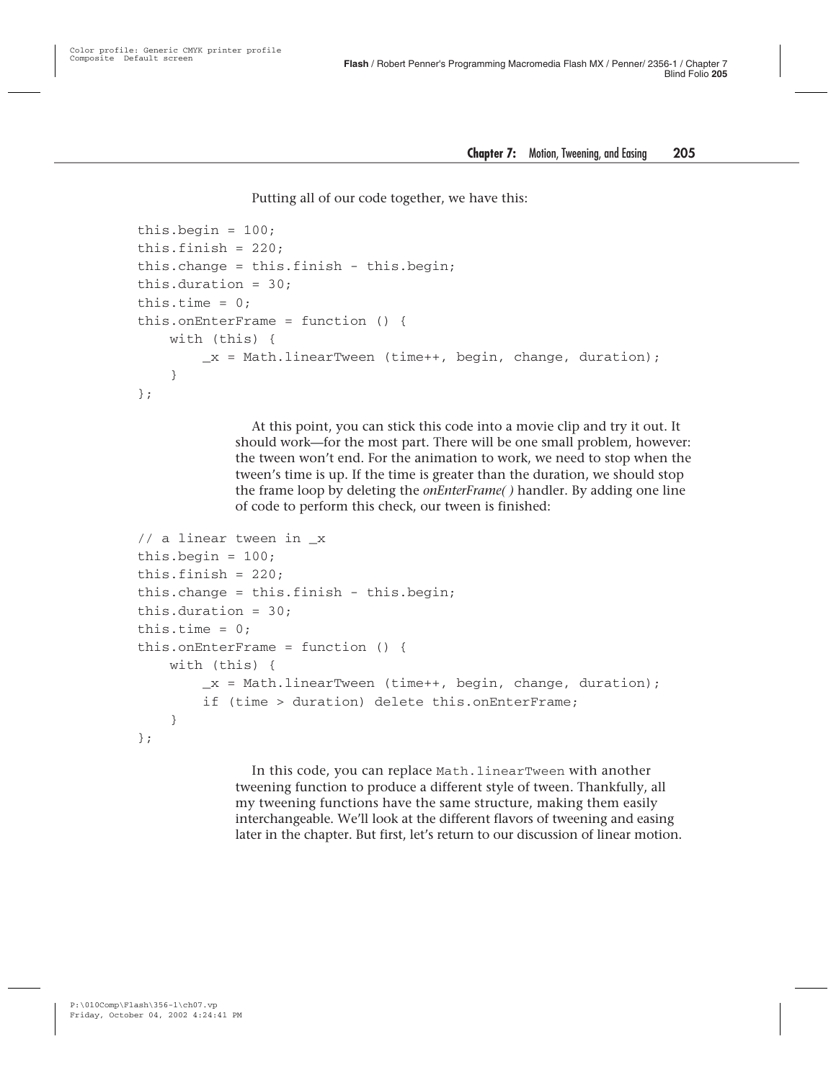Putting all of our code together, we have this:

```
this.begin = 100;
this.finish = 220;
this.change = this.finish - this.begin;
this.duration = 30;
this.time = 0:
this.onEnterFrame = function () {
    with (this) {
        x = Mathu.linearTween (time++, begin, change, duration);
    }
};
```
At this point, you can stick this code into a movie clip and try it out. It should work—for the most part. There will be one small problem, however: the tween won't end. For the animation to work, we need to stop when the tween's time is up. If the time is greater than the duration, we should stop the frame loop by deleting the *onEnterFrame( )* handler. By adding one line of code to perform this check, our tween is finished:

```
// a linear tween in _x
this. begin = 100:this.finish = 220;
this.change = this.finish - this.begin;
this.duration = 30;
this.time = 0;
this.onEnterFrame = function () {
    with (this) {
        x = Mathu.linearTween (time++, begin, change, duration);
        if (time > duration) delete this.onEnterFrame;
    }
};
```
In this code, you can replace Math.linearTween with another tweening function to produce a different style of tween. Thankfully, all my tweening functions have the same structure, making them easily interchangeable. We'll look at the different flavors of tweening and easing later in the chapter. But first, let's return to our discussion of linear motion.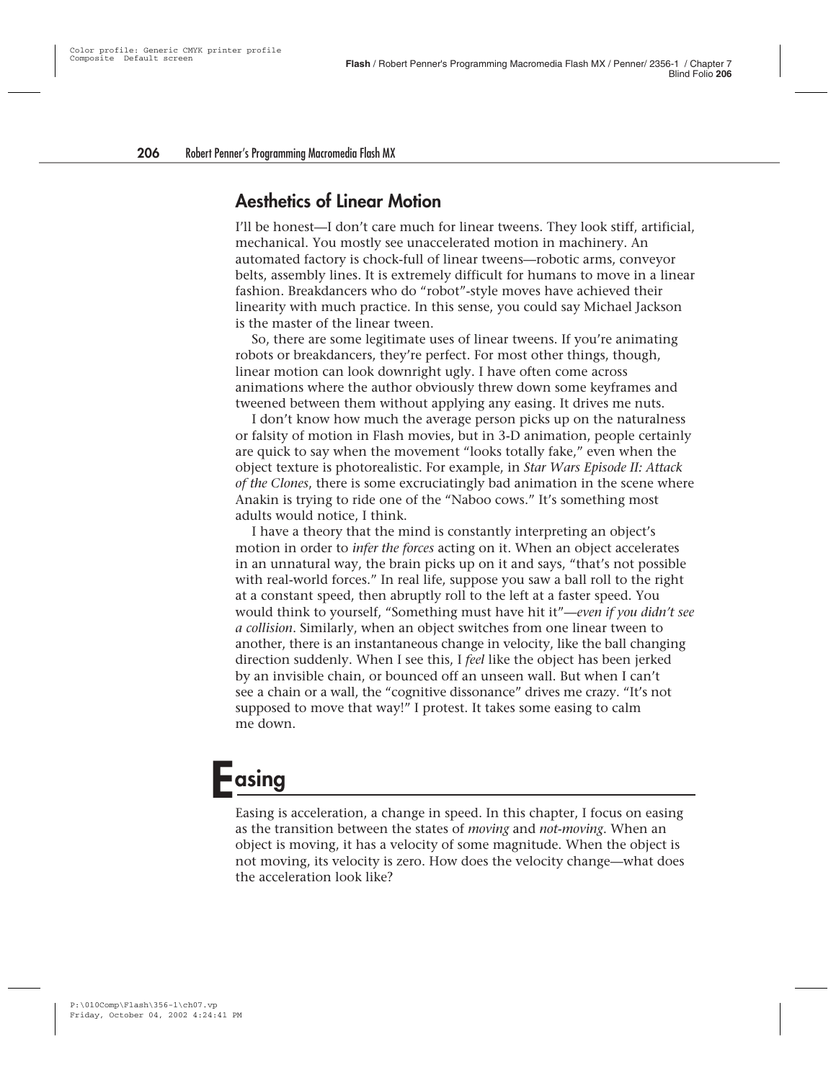#### **Aesthetics of Linear Motion**

I'll be honest—I don't care much for linear tweens. They look stiff, artificial, mechanical. You mostly see unaccelerated motion in machinery. An automated factory is chock-full of linear tweens—robotic arms, conveyor belts, assembly lines. It is extremely difficult for humans to move in a linear fashion. Breakdancers who do "robot"-style moves have achieved their linearity with much practice. In this sense, you could say Michael Jackson is the master of the linear tween.

So, there are some legitimate uses of linear tweens. If you're animating robots or breakdancers, they're perfect. For most other things, though, linear motion can look downright ugly. I have often come across animations where the author obviously threw down some keyframes and tweened between them without applying any easing. It drives me nuts.

I don't know how much the average person picks up on the naturalness or falsity of motion in Flash movies, but in 3-D animation, people certainly are quick to say when the movement "looks totally fake," even when the object texture is photorealistic. For example, in *Star Wars Episode II: Attack of the Clones*, there is some excruciatingly bad animation in the scene where Anakin is trying to ride one of the "Naboo cows." It's something most adults would notice, I think.

I have a theory that the mind is constantly interpreting an object's motion in order to *infer the forces* acting on it. When an object accelerates in an unnatural way, the brain picks up on it and says, "that's not possible with real-world forces." In real life, suppose you saw a ball roll to the right at a constant speed, then abruptly roll to the left at a faster speed. You would think to yourself, "Something must have hit it"—*even if you didn't see a collision*. Similarly, when an object switches from one linear tween to another, there is an instantaneous change in velocity, like the ball changing direction suddenly. When I see this, I *feel* like the object has been jerked by an invisible chain, or bounced off an unseen wall. But when I can't see a chain or a wall, the "cognitive dissonance" drives me crazy. "It's not supposed to move that way!" I protest. It takes some easing to calm me down.

## **Easing**

Easing is acceleration, a change in speed. In this chapter, I focus on easing as the transition between the states of *moving* and *not-moving*. When an object is moving, it has a velocity of some magnitude. When the object is not moving, its velocity is zero. How does the velocity change—what does the acceleration look like?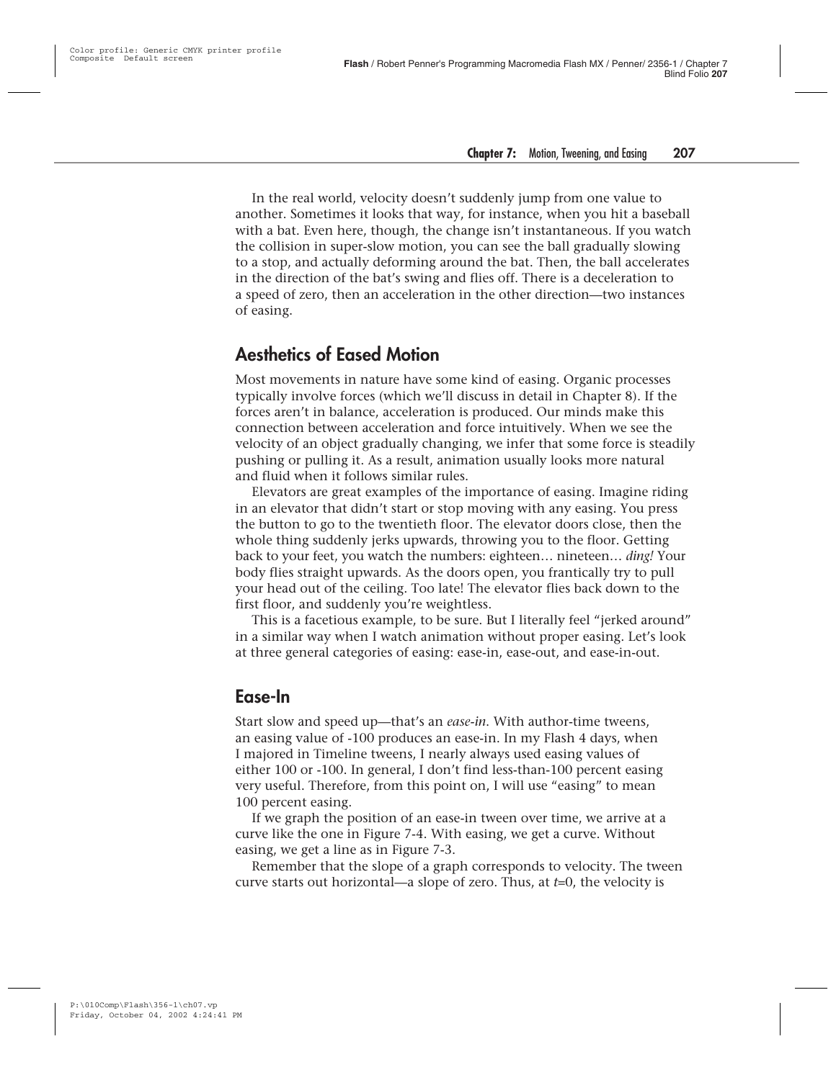In the real world, velocity doesn't suddenly jump from one value to another. Sometimes it looks that way, for instance, when you hit a baseball with a bat. Even here, though, the change isn't instantaneous. If you watch the collision in super-slow motion, you can see the ball gradually slowing to a stop, and actually deforming around the bat. Then, the ball accelerates in the direction of the bat's swing and flies off. There is a deceleration to a speed of zero, then an acceleration in the other direction—two instances of easing.

#### **Aesthetics of Eased Motion**

Most movements in nature have some kind of easing. Organic processes typically involve forces (which we'll discuss in detail in Chapter 8). If the forces aren't in balance, acceleration is produced. Our minds make this connection between acceleration and force intuitively. When we see the velocity of an object gradually changing, we infer that some force is steadily pushing or pulling it. As a result, animation usually looks more natural and fluid when it follows similar rules.

Elevators are great examples of the importance of easing. Imagine riding in an elevator that didn't start or stop moving with any easing. You press the button to go to the twentieth floor. The elevator doors close, then the whole thing suddenly jerks upwards, throwing you to the floor. Getting back to your feet, you watch the numbers: eighteen… nineteen… *ding!* Your body flies straight upwards. As the doors open, you frantically try to pull your head out of the ceiling. Too late! The elevator flies back down to the first floor, and suddenly you're weightless.

This is a facetious example, to be sure. But I literally feel "jerked around" in a similar way when I watch animation without proper easing. Let's look at three general categories of easing: ease-in, ease-out, and ease-in-out.

#### **Ease-In**

Start slow and speed up—that's an *ease-in*. With author-time tweens, an easing value of -100 produces an ease-in. In my Flash 4 days, when I majored in Timeline tweens, I nearly always used easing values of either 100 or -100. In general, I don't find less-than-100 percent easing very useful. Therefore, from this point on, I will use "easing" to mean 100 percent easing.

If we graph the position of an ease-in tween over time, we arrive at a curve like the one in Figure 7-4. With easing, we get a curve. Without easing, we get a line as in Figure 7-3.

Remember that the slope of a graph corresponds to velocity. The tween curve starts out horizontal—a slope of zero. Thus, at *t*=0, the velocity is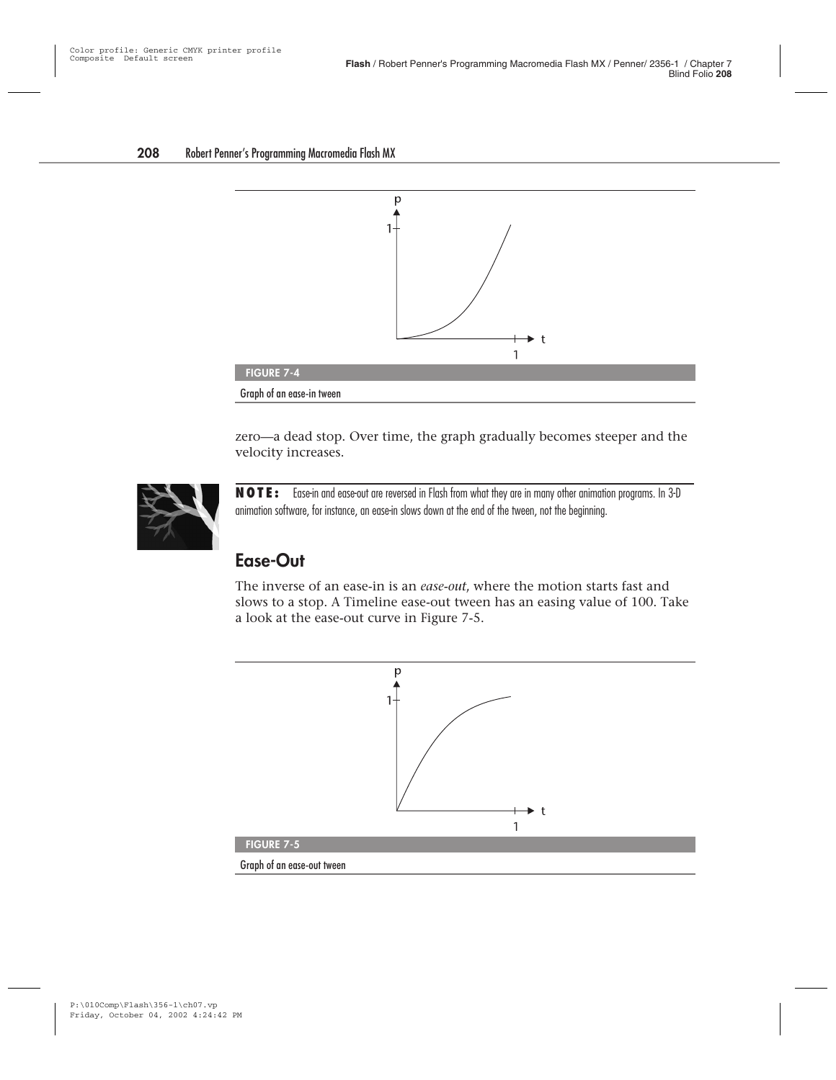

zero—a dead stop. Over time, the graph gradually becomes steeper and the velocity increases.



**NOTE:** Ease-in and ease-out are reversed in Flash from what they are in many other animation programs. In 3-D animation software, for instance, an ease-in slows down at the end of the tween, not the beginning.

#### **Ease-Out**

The inverse of an ease-in is an *ease-out*, where the motion starts fast and slows to a stop. A Timeline ease-out tween has an easing value of 100. Take a look at the ease-out curve in Figure 7-5.

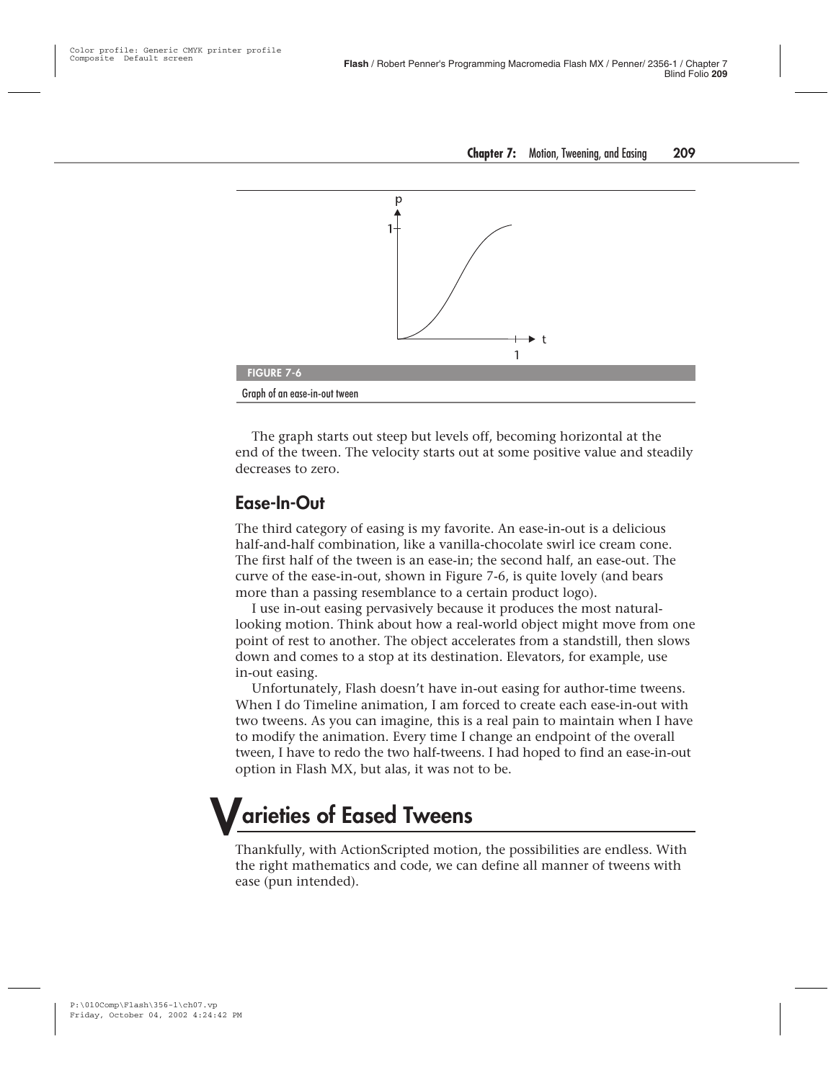

The graph starts out steep but levels off, becoming horizontal at the end of the tween. The velocity starts out at some positive value and steadily decreases to zero.

#### **Ease-In-Out**

The third category of easing is my favorite. An ease-in-out is a delicious half-and-half combination, like a vanilla-chocolate swirl ice cream cone. The first half of the tween is an ease-in; the second half, an ease-out. The curve of the ease-in-out, shown in Figure 7-6, is quite lovely (and bears more than a passing resemblance to a certain product logo).

I use in-out easing pervasively because it produces the most naturallooking motion. Think about how a real-world object might move from one point of rest to another. The object accelerates from a standstill, then slows down and comes to a stop at its destination. Elevators, for example, use in-out easing.

Unfortunately, Flash doesn't have in-out easing for author-time tweens. When I do Timeline animation, I am forced to create each ease-in-out with two tweens. As you can imagine, this is a real pain to maintain when I have to modify the animation. Every time I change an endpoint of the overall tween, I have to redo the two half-tweens. I had hoped to find an ease-in-out option in Flash MX, but alas, it was not to be.

## **Varieties of Eased Tweens**

Thankfully, with ActionScripted motion, the possibilities are endless. With the right mathematics and code, we can define all manner of tweens with ease (pun intended).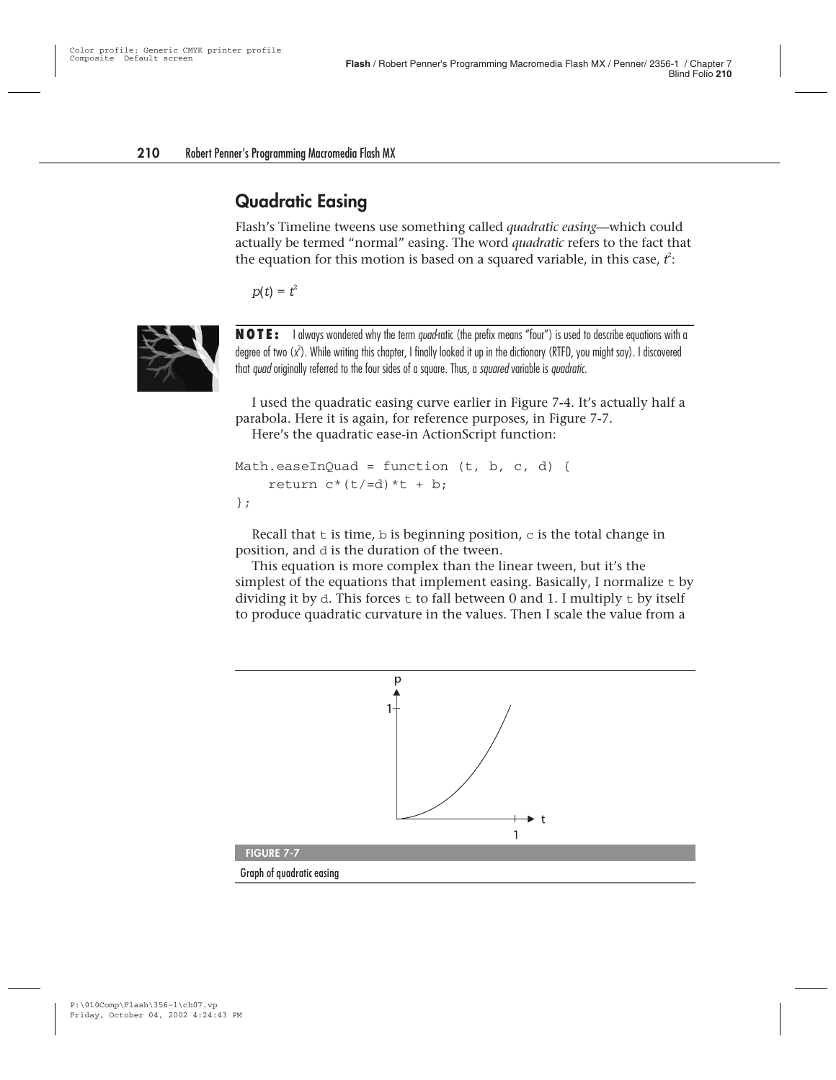#### **Quadratic Easing**

Flash's Timeline tweens use something called *quadratic easing*—which could actually be termed "normal" easing. The word *quadratic* refers to the fact that the equation for this motion is based on a squared variable, in this case, *t* 2 :

 $p(t) = t^2$ 



**NOTE:** I always wondered why the term quad-ratic (the prefix means "four") is used to describe equations with a degree of two (x<sup>2</sup>). While writing this chapter, I finally looked it up in the dictionary (RTFD, you might say). I discovered that quad originally referred to the four sides of a square. Thus, a squared variable is quadratic.

I used the quadratic easing curve earlier in Figure 7-4. It's actually half a parabola. Here it is again, for reference purposes, in Figure 7-7. Here's the quadratic ease-in ActionScript function:

```
Math.easeInQuad = function (t, b, c, d) {
    return c^*(t)=d)*t + b;
};
```
Recall that  $t$  is time,  $b$  is beginning position,  $c$  is the total change in position, and d is the duration of the tween.

This equation is more complex than the linear tween, but it's the simplest of the equations that implement easing. Basically, I normalize t by dividing it by  $d$ . This forces  $t$  to fall between 0 and 1. I multiply  $t$  by itself to produce quadratic curvature in the values. Then I scale the value from a

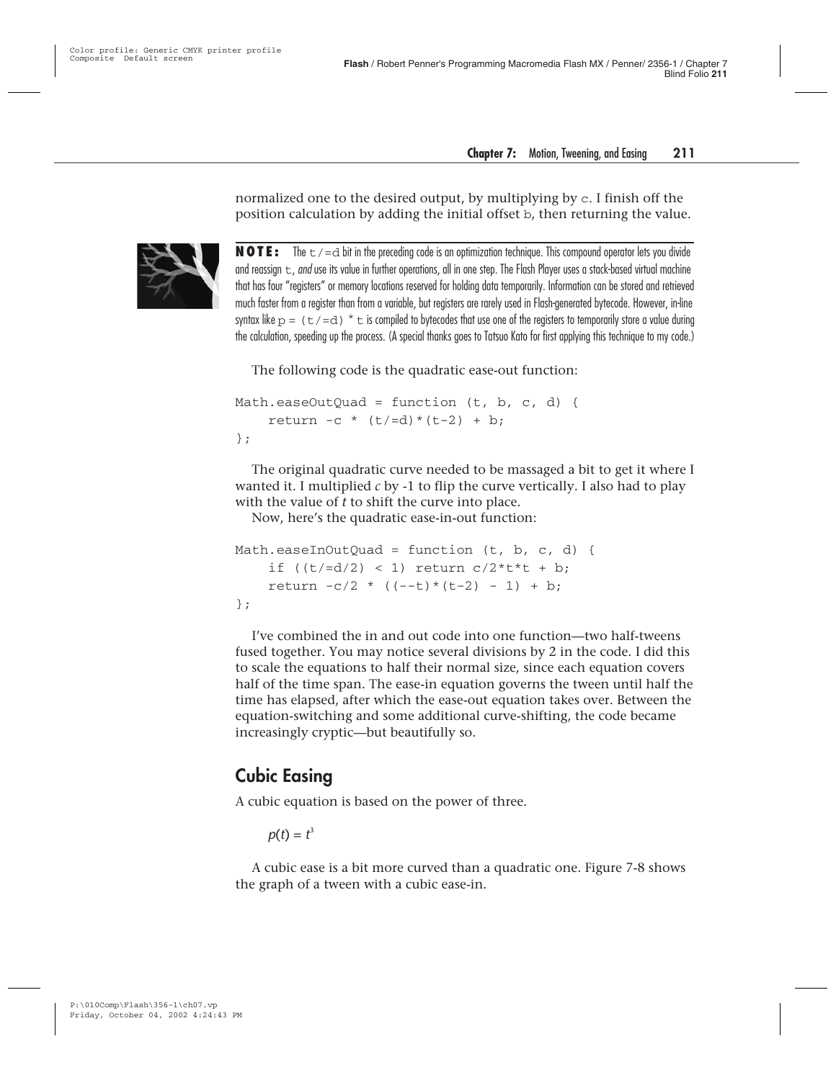normalized one to the desired output, by multiplying by c. I finish off the position calculation by adding the initial offset b, then returning the value.



**NOTE:** The  $t$  /=d bit in the preceding code is an optimization technique. This compound operator lets you divide and reassign  $t$ , and use its value in further operations, all in one step. The Flash Player uses a stack-based virtual machine that has four "registers" or memory locations reserved for holding data temporarily. Information can be stored and retrieved much faster from a register than from a variable, but registers are rarely used in Flash-generated bytecode. However, in-line syntax like  $p = (t/-d) * t$  is compiled to bytecodes that use one of the registers to temporarily store a value during the calculation, speeding up the process. (A special thanks goes to Tatsuo Kato for first applying this technique to my code.)

The following code is the quadratic ease-out function:

```
Math.easeOutOuad = function (t, b, c, d) {
    return -c * (t/=d) * (t-2) + b;
};
```
The original quadratic curve needed to be massaged a bit to get it where I wanted it. I multiplied *c* by -1 to flip the curve vertically. I also had to play with the value of *t* to shift the curve into place.

Now, here's the quadratic ease-in-out function:

```
Math.easeInOutQuad = function (t, b, c, d) {
    if ((t/=d/2) < 1) return c/2*t*t + b;
    return -c/2 * ((- -t) * (t-2) - 1) + b;
};
```
I've combined the in and out code into one function—two half-tweens fused together. You may notice several divisions by 2 in the code. I did this to scale the equations to half their normal size, since each equation covers half of the time span. The ease-in equation governs the tween until half the time has elapsed, after which the ease-out equation takes over. Between the equation-switching and some additional curve-shifting, the code became increasingly cryptic—but beautifully so.

#### **Cubic Easing**

A cubic equation is based on the power of three.

$$
p(t)=t^3
$$

A cubic ease is a bit more curved than a quadratic one. Figure 7-8 shows the graph of a tween with a cubic ease-in.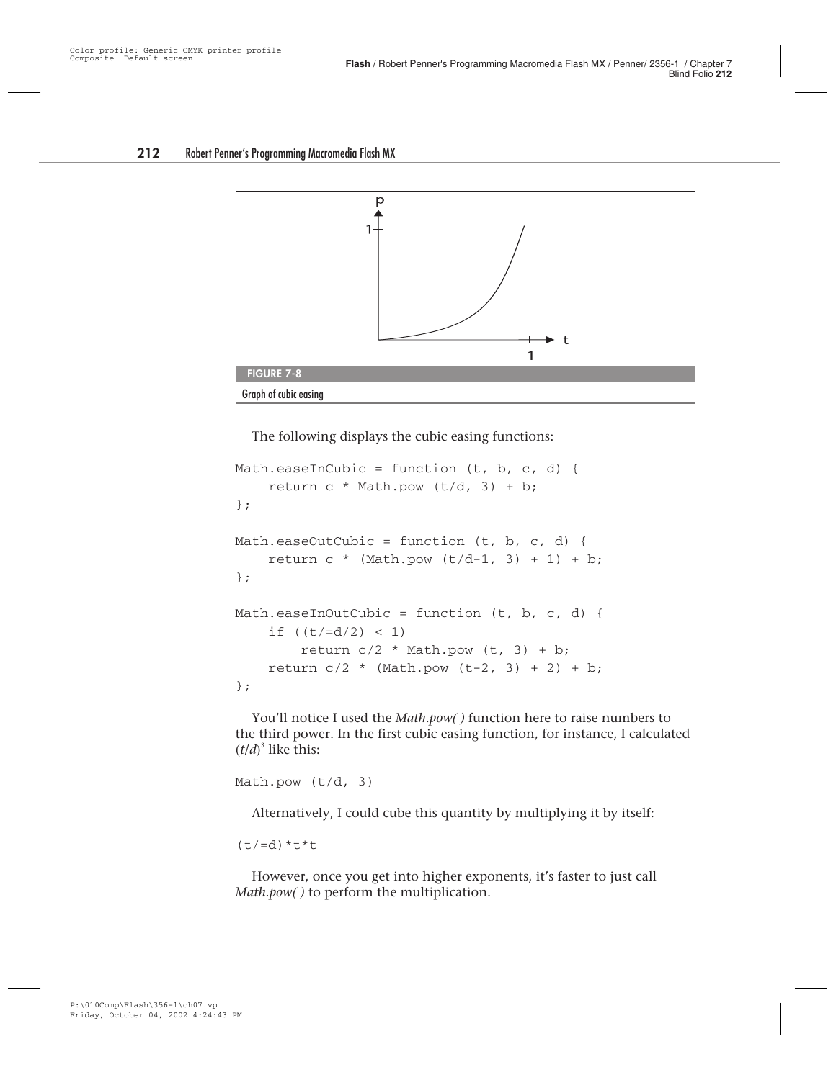

The following displays the cubic easing functions:

```
Math.easeInCubic = function (t, b, c, d) {
    return c * Math.pow (t/d, 3) + b;};
Math.easeOutCubic = function (t, b, c, d) {
    return c * (Math.pow (t/d-1, 3) + 1) + b;};
Math.easeInOutCubic = function (t, b, c, d) {
    if ((t/=d/2) < 1)return c/2 * Math.pow (t, 3) + b;
    return c/2 * (Math.pow (t-2, 3) + 2) + b;
};
```
You'll notice I used the *Math.pow( )* function here to raise numbers to the third power. In the first cubic easing function, for instance, I calculated  $(t/d)^3$  like this:

```
Math.pow (t/d, 3)
```
Alternatively, I could cube this quantity by multiplying it by itself:

 $(t/-d)*t*t$ 

However, once you get into higher exponents, it's faster to just call *Math.pow( )* to perform the multiplication.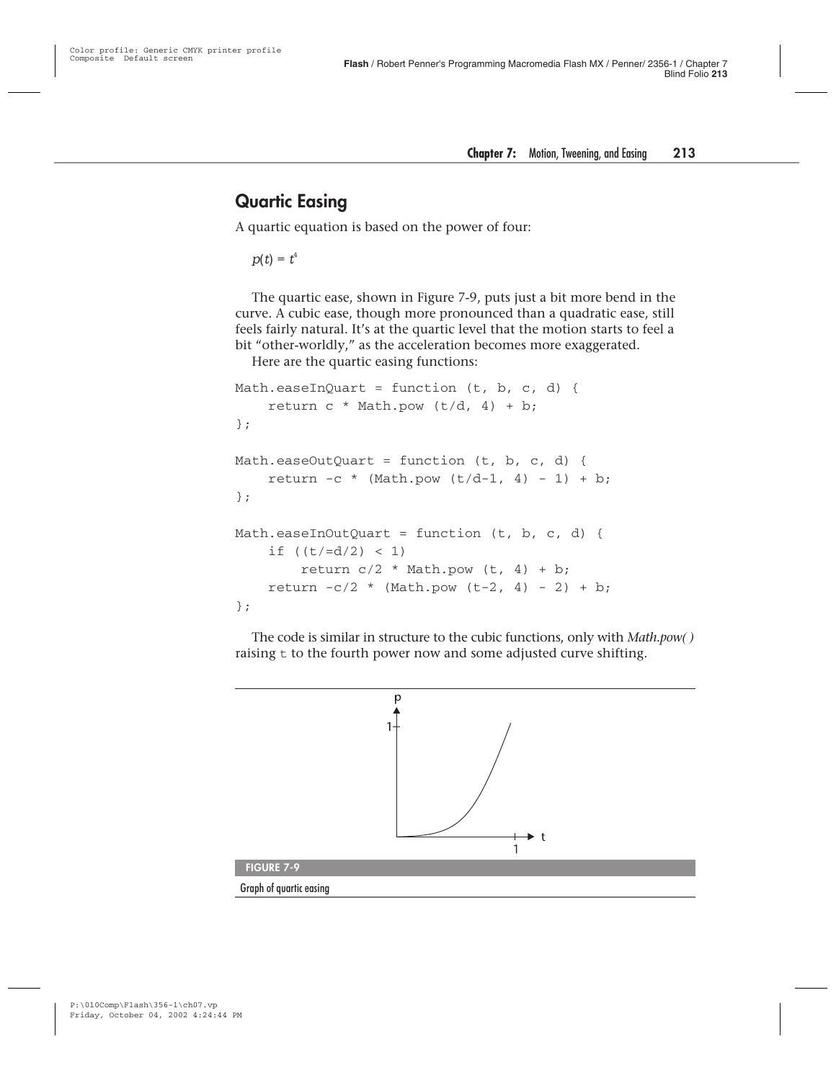#### **Quartic Easing**

A quartic equation is based on the power of four:

 $p(t) = t^4$ 

The quartic ease, shown in Figure 7-9, puts just a bit more bend in the curve. A cubic ease, though more pronounced than a quadratic ease, still feels fairly natural. It's at the quartic level that the motion starts to feel a bit "other-worldly," as the acceleration becomes more exaggerated.

Here are the quartic easing functions:

```
Math.easeInQuart = function (t, b, c, d) {
    return c * Math.pow (t/d, 4) + b;};
Math.easeOutQuart = function (t, b, c, d) {
    return -c * (Math.pow (t/d-1, 4) - 1) + b;
};
Math.easeInOutQuart = function (t, b, c, d) {
    if ((t/=d/2) < 1)return c/2 * Math.pow (t, 4) + b;
    return -c/2 * (Math.pow (t-2, 4) - 2) + b;
};
```
The code is similar in structure to the cubic functions, only with *Math.pow( )* raising  $t$  to the fourth power now and some adjusted curve shifting.

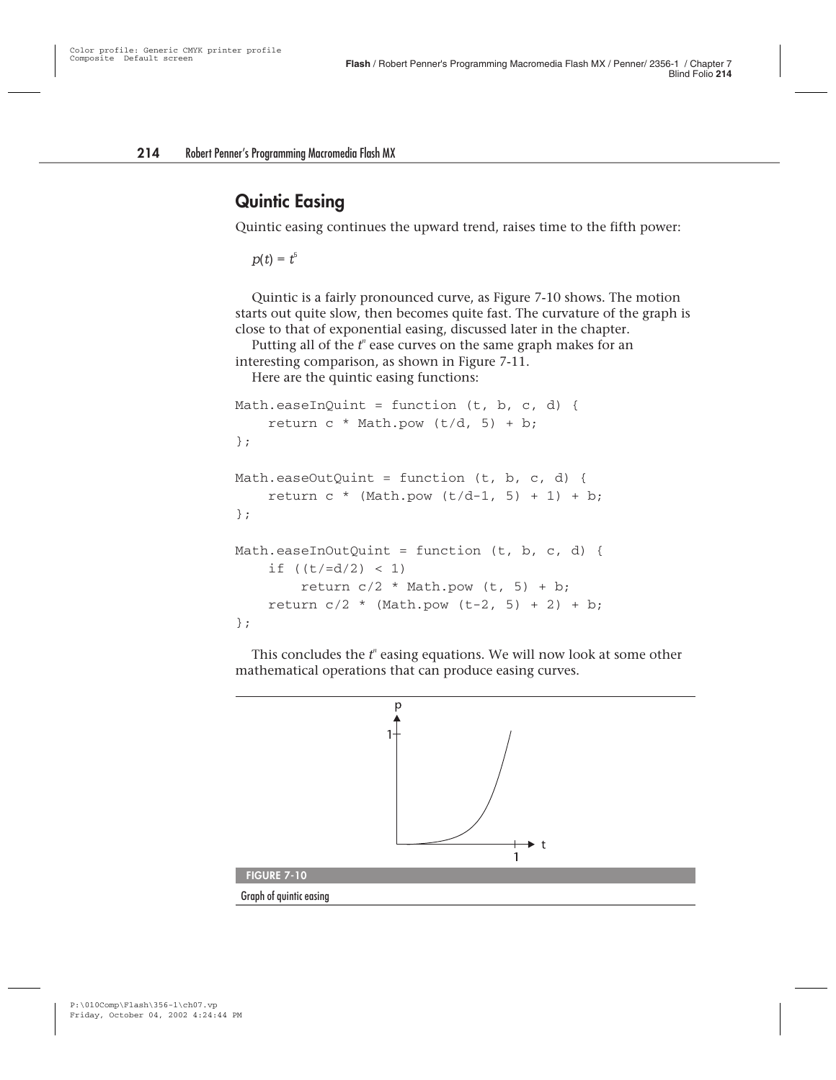#### **Quintic Easing**

Quintic easing continues the upward trend, raises time to the fifth power:

 $p(t) = t^5$ 

Quintic is a fairly pronounced curve, as Figure 7-10 shows. The motion starts out quite slow, then becomes quite fast. The curvature of the graph is close to that of exponential easing, discussed later in the chapter.

Putting all of the  $t<sup>n</sup>$  ease curves on the same graph makes for an interesting comparison, as shown in Figure 7-11.

Here are the quintic easing functions:

```
Math.easeInQuint = function (t, b, c, d) {
    return c * Math.pow (t/d, 5) + b;};
Math.easeOutOuint = function (t, b, c, d) {
    return c * (Math.pow (t/d-1, 5) + 1) + b;};
Math.easeInOutOuint = function (t, b, c, d) {
    if ((t/=d/2) < 1)return c/2 * Math.pow (t, 5) + b;
    return c/2 * (Math.pow (t-2, 5) + 2) + b;
};
```
This concludes the  $t<sup>n</sup>$  easing equations. We will now look at some other mathematical operations that can produce easing curves.

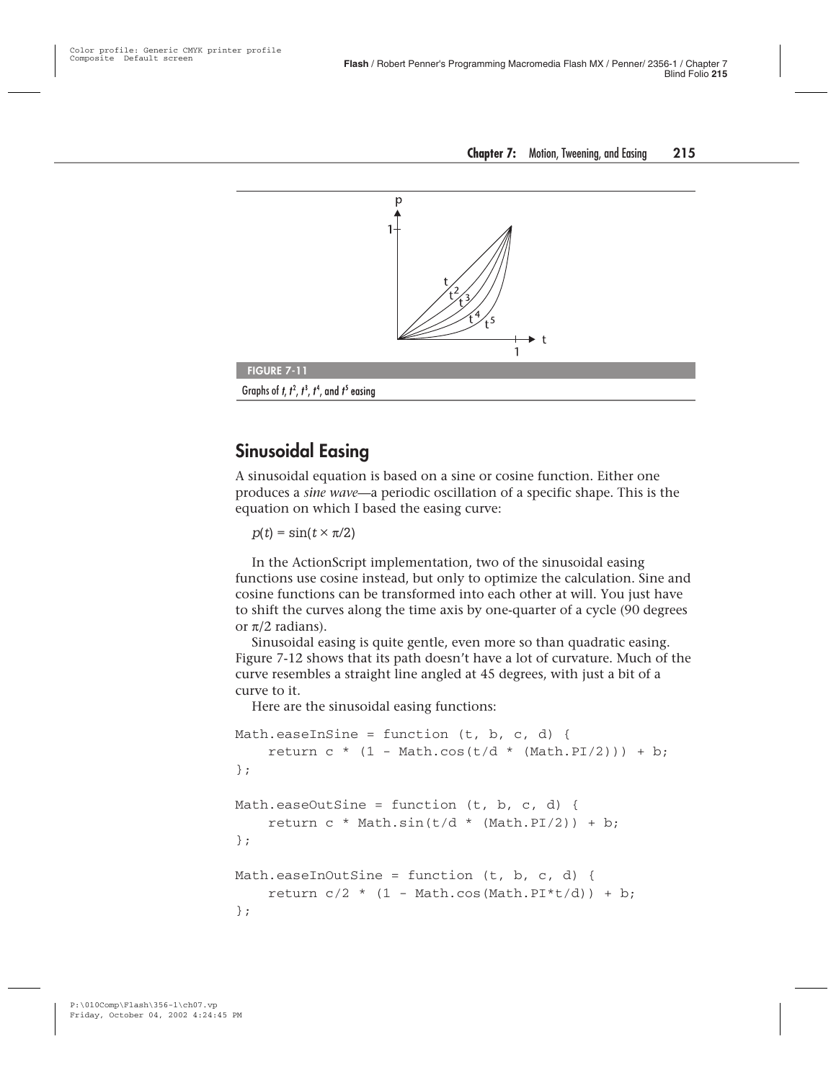

#### **Sinusoidal Easing**

A sinusoidal equation is based on a sine or cosine function. Either one produces a *sine wave—*a periodic oscillation of a specific shape. This is the equation on which I based the easing curve:

 $p(t) = \sin(t \times \pi/2)$ 

In the ActionScript implementation, two of the sinusoidal easing functions use cosine instead, but only to optimize the calculation. Sine and cosine functions can be transformed into each other at will. You just have to shift the curves along the time axis by one-quarter of a cycle (90 degrees or π/2 radians).

Sinusoidal easing is quite gentle, even more so than quadratic easing. Figure 7-12 shows that its path doesn't have a lot of curvature. Much of the curve resembles a straight line angled at 45 degrees, with just a bit of a curve to it.

Here are the sinusoidal easing functions:

```
Math.easeInSine = function (t, b, c, d) {
    return c * (1 - Math. \cos(t/d * (Math.PI/2))) + b;
};
Math.easeOutSine = function (t, b, c, d) {
    return c * Math.sin(t/d * (Math.PI/2)) + b;};
Math.easeInOutSine = function (t, b, c, d) {
    return c/2 * (1 - Math.cos(Math.PI*t/d)) + b;
};
```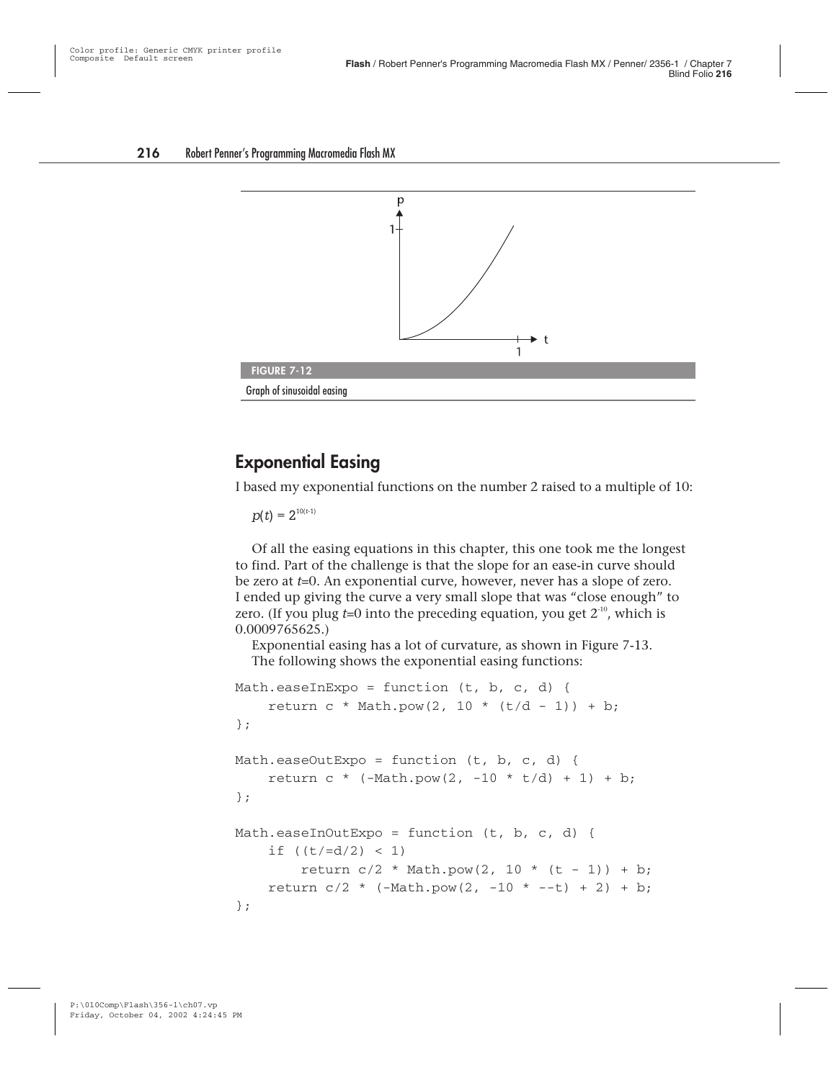

#### **Exponential Easing**

I based my exponential functions on the number 2 raised to a multiple of 10:

 $p(t) = 2^{10(t-1)}$ 

Of all the easing equations in this chapter, this one took me the longest to find. Part of the challenge is that the slope for an ease-in curve should be zero at *t*=0. An exponential curve, however, never has a slope of zero. I ended up giving the curve a very small slope that was "close enough" to zero. (If you plug  $t=0$  into the preceding equation, you get  $2<sup>-10</sup>$ , which is 0.0009765625.)

Exponential easing has a lot of curvature, as shown in Figure 7-13. The following shows the exponential easing functions:

```
Math.easeInExpo = function (t, b, c, d) {
    return c * Math.pow(2, 10 * (t/d - 1)) + b;
};
Math.easeOutExpo = function (t, b, c, d) {
    return c * (-Math.pop(2, -10 * t/d) + 1) + b;};
Math.easeInOutExpo = function (t, b, c, d) {
    if ((t/=d/2) < 1)return c/2 * Math.pow(2, 10 * (t - 1)) + b;
    return c/2 * (-Math.pow(2, -10 * --t) + 2) + b;
};
```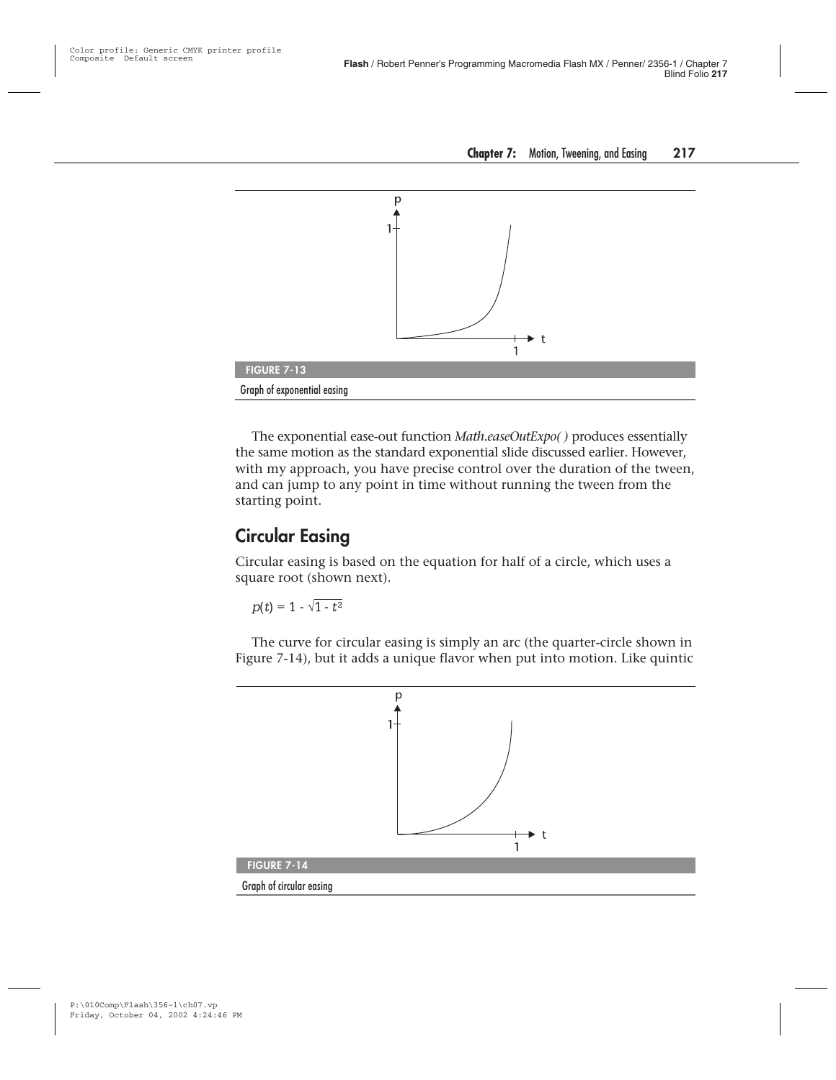

The exponential ease-out function *Math.easeOutExpo( )* produces essentially the same motion as the standard exponential slide discussed earlier. However, with my approach, you have precise control over the duration of the tween, and can jump to any point in time without running the tween from the starting point.

#### **Circular Easing**

Circular easing is based on the equation for half of a circle, which uses a square root (shown next).

$$
p(t) = 1 - \sqrt{1-t^2}
$$

The curve for circular easing is simply an arc (the quarter-circle shown in Figure 7-14), but it adds a unique flavor when put into motion. Like quintic

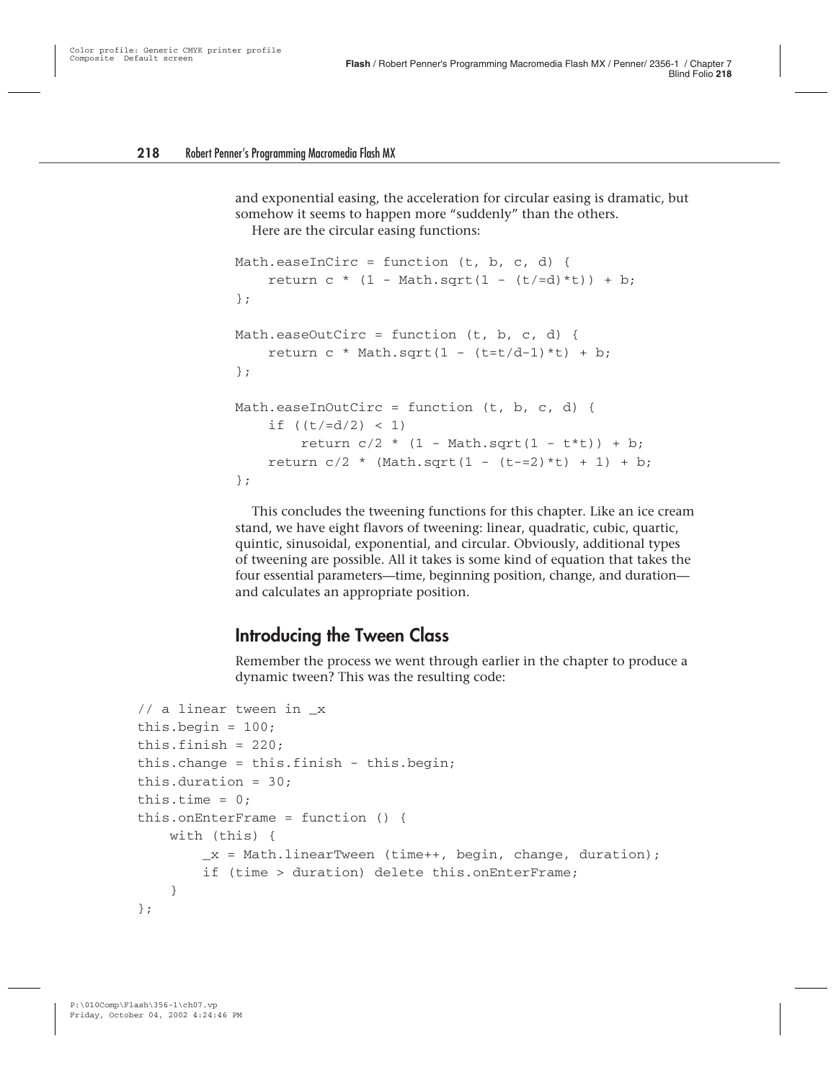and exponential easing, the acceleration for circular easing is dramatic, but somehow it seems to happen more "suddenly" than the others.

Here are the circular easing functions:

```
Math.easeInCirc = function (t, b, c, d) {
    return c * (1 - Math.sqrt(1 - (t/=d)*t)) + b;};
Math.easeOutCirc = function (t, b, c, d) {
    return c * Math.sqrt(1 - (t=t/d-1)*t) + b;};
Math.easeInOutCirc = function (t, b, c, d) {
    if ((t/=d/2) < 1)return c/2 * (1 - Math.sqrt(1 - t*t)) + b;
    return c/2 * (Math.sqrt(1 - (t=-2)*t) + 1) + b;
};
```
This concludes the tweening functions for this chapter. Like an ice cream stand, we have eight flavors of tweening: linear, quadratic, cubic, quartic, quintic, sinusoidal, exponential, and circular. Obviously, additional types of tweening are possible. All it takes is some kind of equation that takes the four essential parameters—time, beginning position, change, and duration and calculates an appropriate position.

#### **Introducing the Tween Class**

Remember the process we went through earlier in the chapter to produce a dynamic tween? This was the resulting code:

```
// a linear tween in _x
this.begin = 100;
this.finish = 220:
this.change = this.finish - this.begin;
this.duration = 30;
this.time = 0:
this.onEnterFrame = function () {
    with (this) {
        _x = \text{Mathu}inearTween (time++, begin, change, duration);
        if (time > duration) delete this.onEnterFrame;
    }
};
```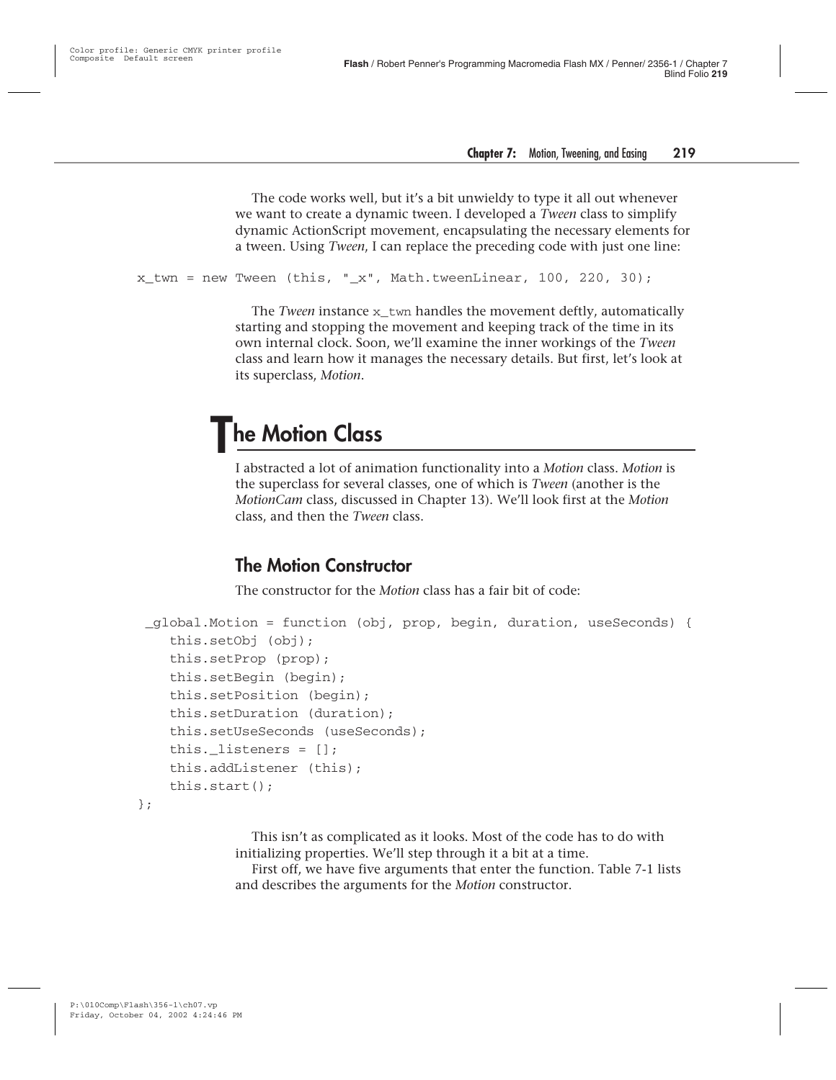The code works well, but it's a bit unwieldy to type it all out whenever we want to create a dynamic tween. I developed a *Tween* class to simplify dynamic ActionScript movement, encapsulating the necessary elements for a tween. Using *Tween*, I can replace the preceding code with just one line:

```
x twn = new Tween (this, "x", Math.tweenLinear, 100, 220, 30);
```
The *Tween* instance x\_twn handles the movement deftly, automatically starting and stopping the movement and keeping track of the time in its own internal clock. Soon, we'll examine the inner workings of the *Tween* class and learn how it manages the necessary details. But first, let's look at its superclass, *Motion*.

## **The Motion Class**

I abstracted a lot of animation functionality into a *Motion* class. *Motion* is the superclass for several classes, one of which is *Tween* (another is the *MotionCam* class, discussed in Chapter 13). We'll look first at the *Motion* class, and then the *Tween* class.

#### **The Motion Constructor**

The constructor for the *Motion* class has a fair bit of code:

```
_global.Motion = function (obj, prop, begin, duration, useSeconds) {
   this.setObj (obj);
   this.setProp (prop);
   this.setBegin (begin);
   this.setPosition (begin);
   this.setDuration (duration);
   this.setUseSeconds (useSeconds);
   this. listeners = []:
   this.addListener (this);
   this.start();
```
};

This isn't as complicated as it looks. Most of the code has to do with initializing properties. We'll step through it a bit at a time.

First off, we have five arguments that enter the function. Table 7-1 lists and describes the arguments for the *Motion* constructor.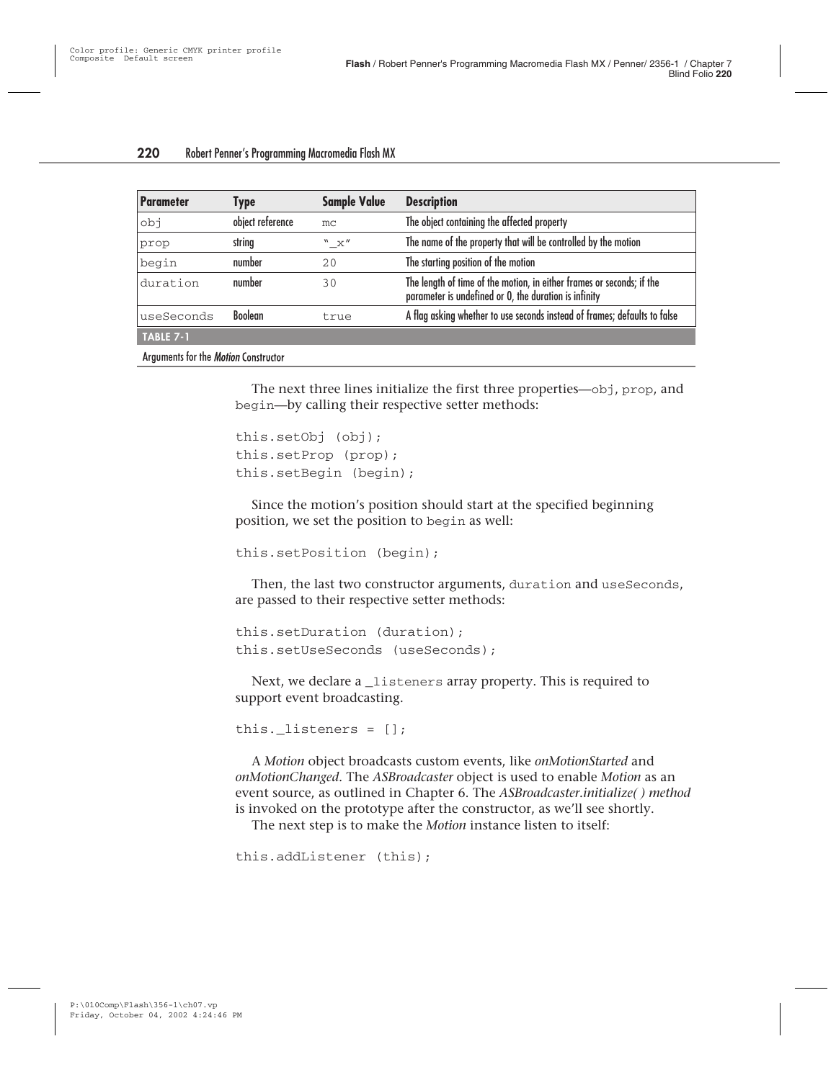| <b>Parameter</b> | <b>Type</b>      | <b>Sample Value</b> | <b>Description</b>                                                                                                             |  |
|------------------|------------------|---------------------|--------------------------------------------------------------------------------------------------------------------------------|--|
| rdo              | object reference | mc                  | The object containing the affected property                                                                                    |  |
| prop             | string           | "X"                 | The name of the property that will be controlled by the motion                                                                 |  |
| begin            | number           | 20                  | The starting position of the motion                                                                                            |  |
| duration         | number           | 30                  | The length of time of the motion, in either frames or seconds; if the<br>parameter is undefined or 0, the duration is infinity |  |
| useSeconds       | <b>Boolean</b>   | true                | A flag asking whether to use seconds instead of frames; defaults to false                                                      |  |
| <b>TABLE 7-1</b> |                  |                     |                                                                                                                                |  |
|                  |                  |                     |                                                                                                                                |  |

Arguments for the *Motion* Constructor

The next three lines initialize the first three properties—obj, prop, and begin—by calling their respective setter methods:

```
this.setObj (obj);
this.setProp (prop);
this.setBegin (begin);
```
Since the motion's position should start at the specified beginning position, we set the position to begin as well:

```
this.setPosition (begin);
```
Then, the last two constructor arguments, duration and useSeconds, are passed to their respective setter methods:

```
this.setDuration (duration);
this.setUseSeconds (useSeconds);
```
Next, we declare a *\_*listeners array property. This is required to support event broadcasting.

```
this. listeners = [];
```
A *Motion* object broadcasts custom events, like *onMotionStarted* and *onMotionChanged*. The *ASBroadcaster* object is used to enable *Motion* as an event source, as outlined in Chapter 6. The *ASBroadcaster.initialize( ) method* is invoked on the prototype after the constructor, as we'll see shortly.

The next step is to make the *Motion* instance listen to itself:

```
this.addListener (this);
```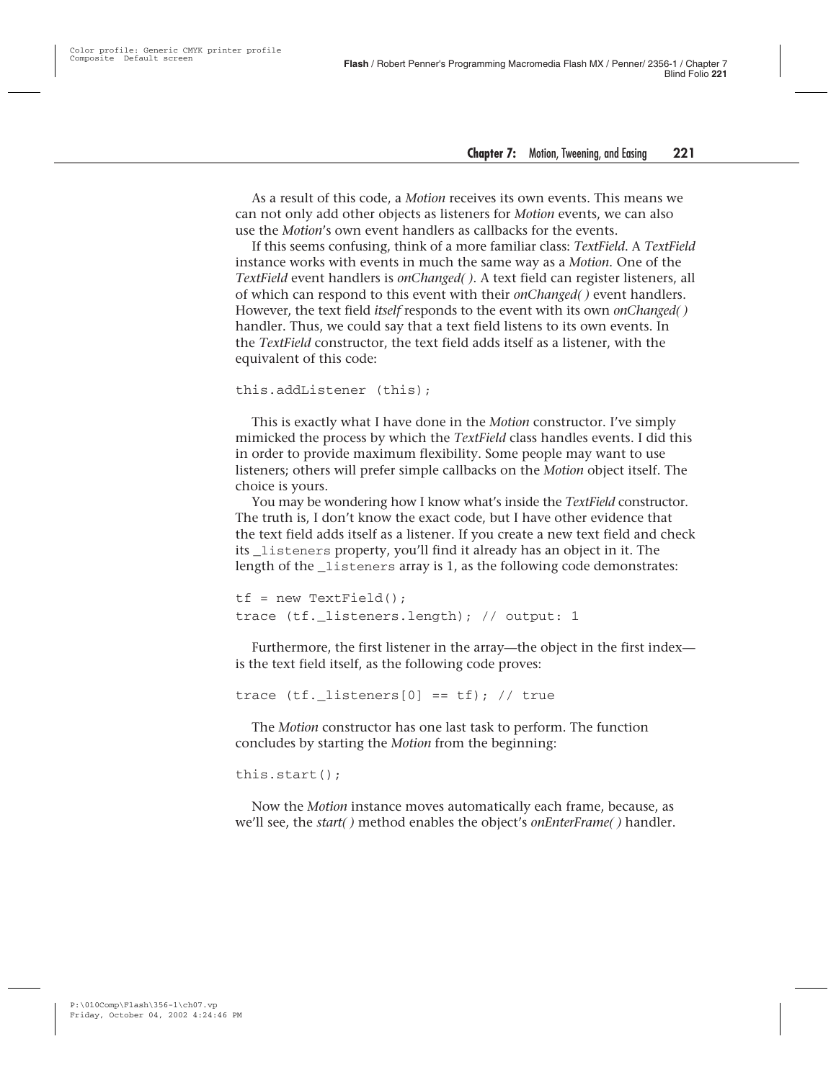As a result of this code, a *Motion* receives its own events. This means we can not only add other objects as listeners for *Motion* events, we can also use the *Motion*'s own event handlers as callbacks for the events.

If this seems confusing, think of a more familiar class: *TextField*. A *TextField* instance works with events in much the same way as a *Motion*. One of the *TextField* event handlers is *onChanged( )*. A text field can register listeners, all of which can respond to this event with their *onChanged( )* event handlers. However, the text field *itself* responds to the event with its own *onChanged( )* handler. Thus, we could say that a text field listens to its own events. In the *TextField* constructor, the text field adds itself as a listener, with the equivalent of this code:

```
this.addListener (this);
```
This is exactly what I have done in the *Motion* constructor. I've simply mimicked the process by which the *TextField* class handles events. I did this in order to provide maximum flexibility. Some people may want to use listeners; others will prefer simple callbacks on the *Motion* object itself. The choice is yours.

You may be wondering how I know what's inside the *TextField* constructor. The truth is, I don't know the exact code, but I have other evidence that the text field adds itself as a listener. If you create a new text field and check its \_listeners property, you'll find it already has an object in it. The length of the listeners array is 1, as the following code demonstrates:

```
tf = new TextField();
trace (tf. listeners.length); // output: 1
```
Furthermore, the first listener in the array—the object in the first index is the text field itself, as the following code proves:

trace (tf. listeners[0] ==  $tf$ ); // true

The *Motion* constructor has one last task to perform. The function concludes by starting the *Motion* from the beginning:

this.start();

Now the *Motion* instance moves automatically each frame, because, as we'll see, the *start( )* method enables the object's *onEnterFrame( )* handler.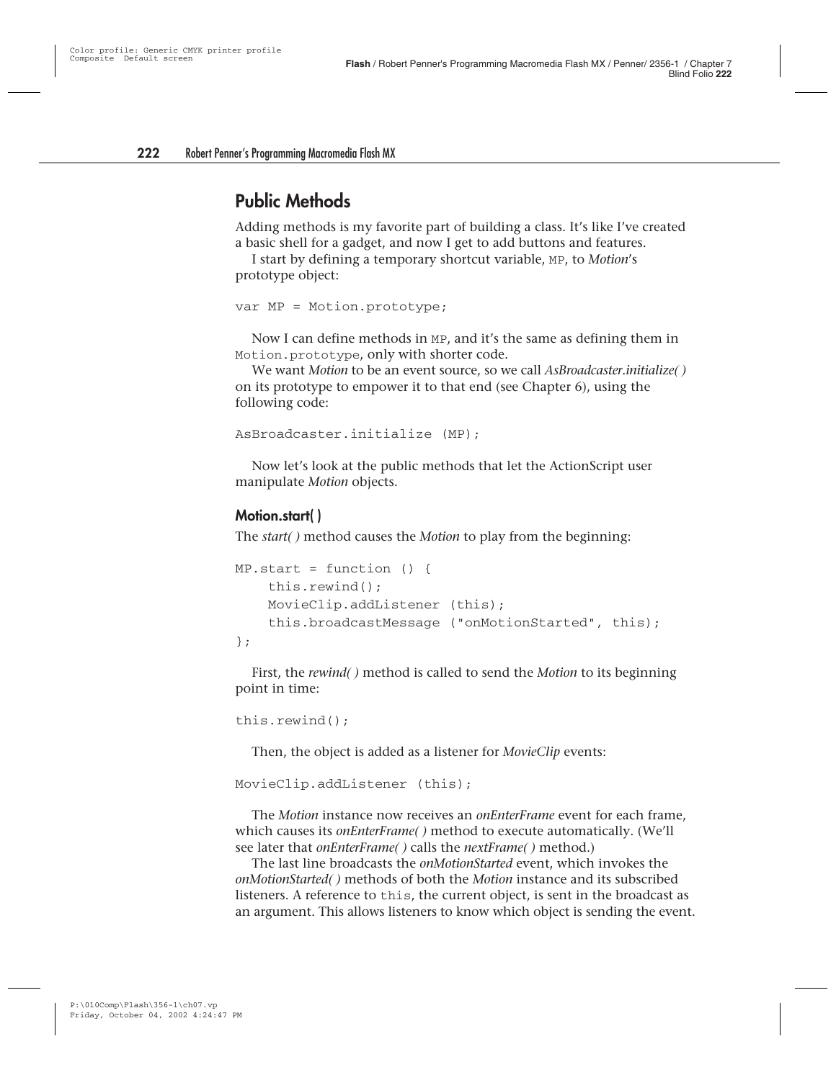#### **Public Methods**

Adding methods is my favorite part of building a class. It's like I've created a basic shell for a gadget, and now I get to add buttons and features.

I start by defining a temporary shortcut variable, MP, to *Motion*'s prototype object:

```
var MP = Motion.prototype;
```
Now I can define methods in MP, and it's the same as defining them in Motion.prototype, only with shorter code.

We want *Motion* to be an event source, so we call *AsBroadcaster.initialize( )* on its prototype to empower it to that end (see Chapter 6), using the following code:

```
AsBroadcaster.initialize (MP);
```
Now let's look at the public methods that let the ActionScript user manipulate *Motion* objects.

#### **Motion.start( )**

The *start( )* method causes the *Motion* to play from the beginning:

```
MP.start = function()this.rewind();
    MovieClip.addListener (this);
    this.broadcastMessage ("onMotionStarted", this);
};
```
First, the *rewind( )* method is called to send the *Motion* to its beginning point in time:

```
this.rewind();
```
Then, the object is added as a listener for *MovieClip* events:

```
MovieClip.addListener (this);
```
The *Motion* instance now receives an *onEnterFrame* event for each frame, which causes its *onEnterFrame( )* method to execute automatically. (We'll see later that *onEnterFrame( )* calls the *nextFrame( )* method.)

The last line broadcasts the *onMotionStarted* event, which invokes the *onMotionStarted( )* methods of both the *Motion* instance and its subscribed listeners. A reference to this, the current object, is sent in the broadcast as an argument. This allows listeners to know which object is sending the event.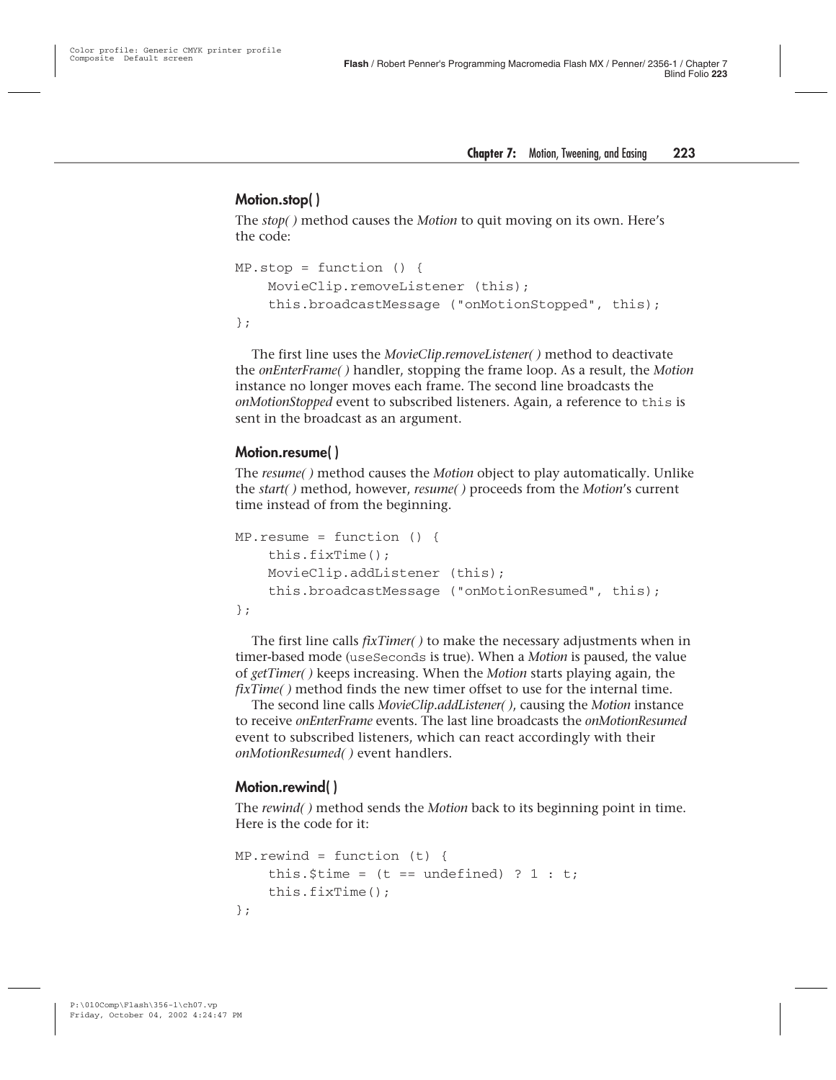#### **Motion.stop( )**

The *stop( )* method causes the *Motion* to quit moving on its own. Here's the code:

```
MP.stop = function ()MovieClip.removeListener (this);
    this.broadcastMessage ("onMotionStopped", this);
};
```
The first line uses the *MovieClip.removeListener( )* method to deactivate the *onEnterFrame( )* handler, stopping the frame loop. As a result, the *Motion* instance no longer moves each frame. The second line broadcasts the *onMotionStopped* event to subscribed listeners. Again, a reference to this is sent in the broadcast as an argument.

#### **Motion.resume( )**

The *resume( )* method causes the *Motion* object to play automatically. Unlike the *start( )* method, however, *resume( )* proceeds from the *Motion*'s current time instead of from the beginning.

```
MP. resume = function () {
    this.fixTime();
    MovieClip.addListener (this);
    this.broadcastMessage ("onMotionResumed", this);
};
```
The first line calls *fixTimer( )* to make the necessary adjustments when in timer-based mode (useSeconds is true). When a *Motion* is paused, the value of *getTimer( )* keeps increasing. When the *Motion* starts playing again, the *fixTime( )* method finds the new timer offset to use for the internal time.

The second line calls *MovieClip.addListener( )*, causing the *Motion* instance to receive *onEnterFrame* events. The last line broadcasts the *onMotionResumed* event to subscribed listeners, which can react accordingly with their *onMotionResumed( )* event handlers.

#### **Motion.rewind( )**

The *rewind( )* method sends the *Motion* back to its beginning point in time. Here is the code for it:

```
MP.rewind = function (t) {
    this.$time = (t == undefined) ? 1 : t;
    this.fixTime();
};
```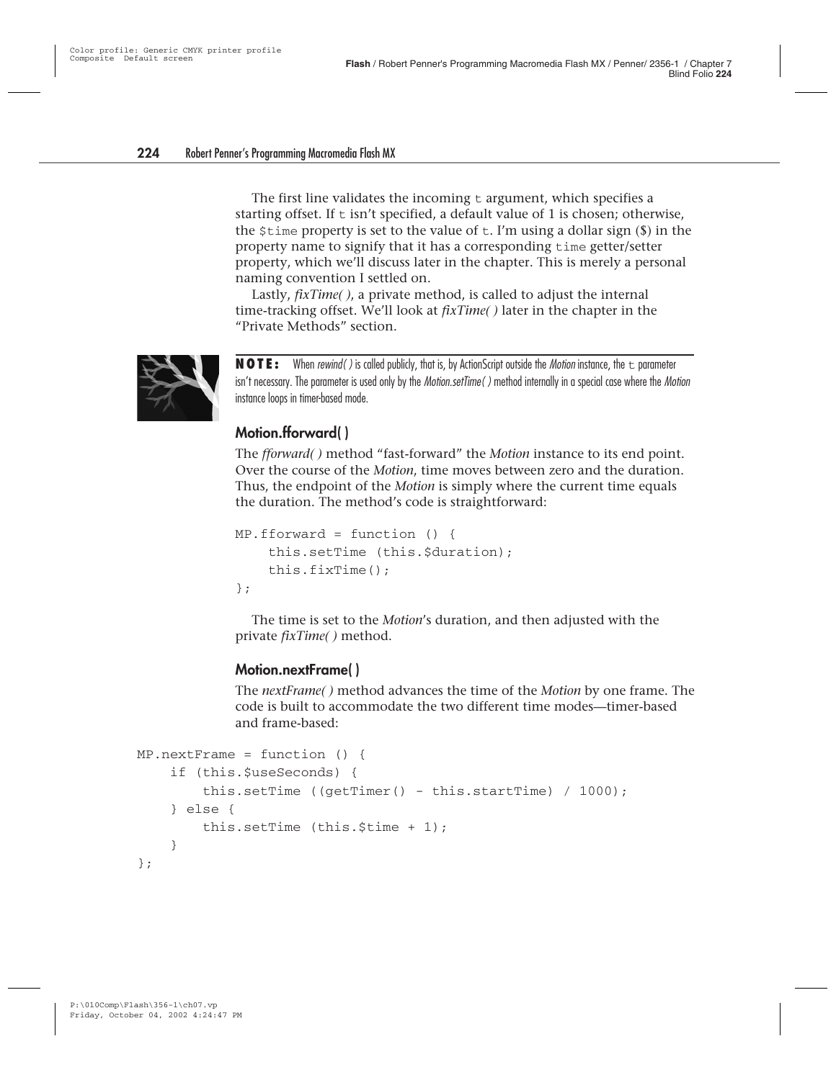The first line validates the incoming  $t$  argument, which specifies a starting offset. If  $t$  isn't specified, a default value of 1 is chosen; otherwise, the  $\sin$  stime property is set to the value of t. I'm using a dollar sign (\$) in the property name to signify that it has a corresponding time getter/setter property, which we'll discuss later in the chapter. This is merely a personal naming convention I settled on.

Lastly, *fixTime( )*, a private method, is called to adjust the internal time-tracking offset. We'll look at *fixTime( )* later in the chapter in the "Private Methods" section.



**NOTE:** When *rewind()* is called publicly, that is, by ActionScript outside the *Motion* instance, the  $\pm$  parameter isn't necessary. The parameter is used only by the *Motion.setTime* () method internally in a special case where the *Motion* instance loops in timer-based mode.

#### **Motion.fforward( )**

The *fforward( )* method "fast-forward" the *Motion* instance to its end point. Over the course of the *Motion*, time moves between zero and the duration. Thus, the endpoint of the *Motion* is simply where the current time equals the duration. The method's code is straightforward:

```
MP.fforward = function () {
    this.setTime (this.$duration);
    this.fixTime();
};
```
The time is set to the *Motion*'s duration, and then adjusted with the private *fixTime( )* method.

#### **Motion.nextFrame( )**

The *nextFrame( )* method advances the time of the *Motion* by one frame. The code is built to accommodate the two different time modes—timer-based and frame-based:

```
MP.nextFrame = function () {
    if (this.$useSeconds) {
        this.setTime ((getTimer() - this.startTime) / 1000);
    } else {
        this.setTime (this.$time + 1);
    }
};
```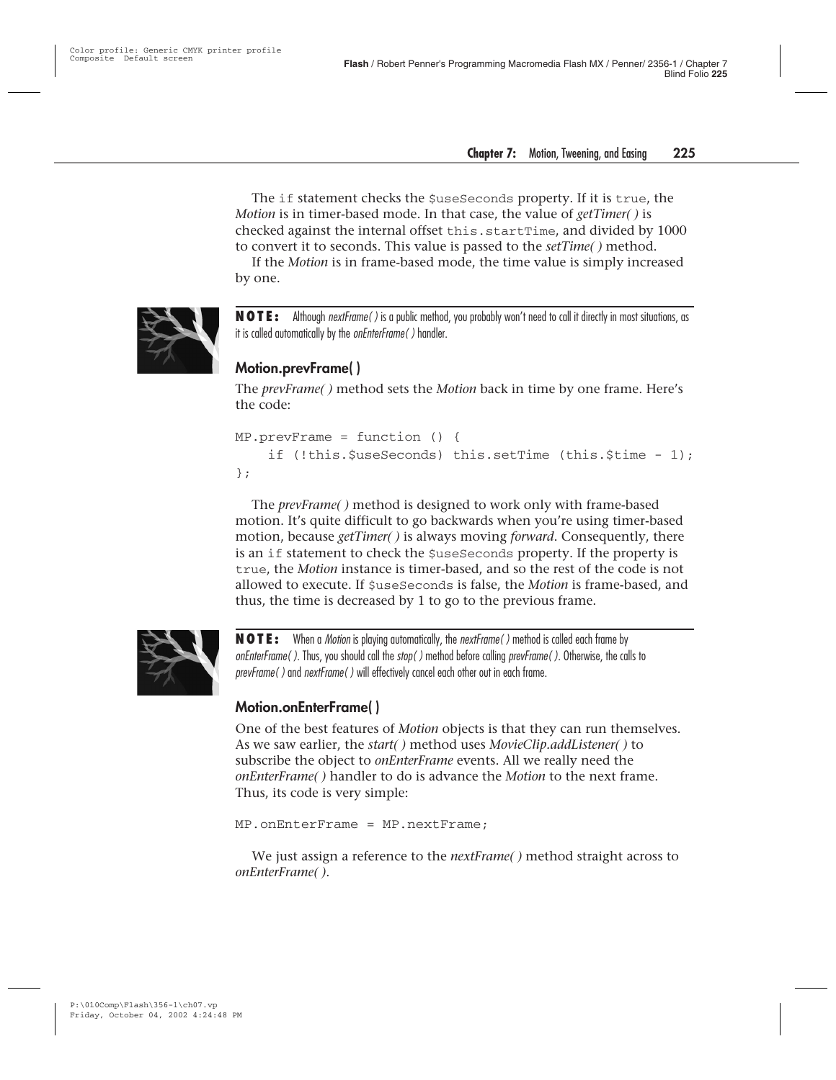The if statement checks the  $\zeta$ useSeconds property. If it is true, the *Motion* is in timer-based mode. In that case, the value of *getTimer( )* is checked against the internal offset this.startTime, and divided by 1000 to convert it to seconds. This value is passed to the *setTime( )* method.

If the *Motion* is in frame-based mode, the time value is simply increased by one.



**NOTE:** Although nextFrame( ) is a public method, you probably won't need to call it directly in most situations, as it is called automatically by the *onEnterFrame()* handler.

#### **Motion.prevFrame( )**

The *prevFrame( )* method sets the *Motion* back in time by one frame. Here's the code:

```
MP.prevFrame = function () {
    if (!this.$useSeconds) this.setTime (this.$time - 1);
};
```
The *prevFrame( )* method is designed to work only with frame-based motion. It's quite difficult to go backwards when you're using timer-based motion, because *getTimer( )* is always moving *forward*. Consequently, there is an if statement to check the \$useSeconds property. If the property is true, the *Motion* instance is timer-based, and so the rest of the code is not allowed to execute. If \$useSeconds is false, the *Motion* is frame-based, and thus, the time is decreased by 1 to go to the previous frame.



**NOTE:** When a Motion is playing automatically, the nextFrame( ) method is called each frame by onEnterFrame( ). Thus, you should call the stop( ) method before calling prevFrame( ). Otherwise, the calls to prevFrame( ) and nextFrame( ) will effectively cancel each other out in each frame.

#### **Motion.onEnterFrame( )**

One of the best features of *Motion* objects is that they can run themselves. As we saw earlier, the *start( )* method uses *MovieClip.addListener( )* to subscribe the object to *onEnterFrame* events. All we really need the *onEnterFrame( )* handler to do is advance the *Motion* to the next frame. Thus, its code is very simple:

```
MP.onEnterFrame = MP.nextFrame;
```
We just assign a reference to the *nextFrame( )* method straight across to *onEnterFrame( )*.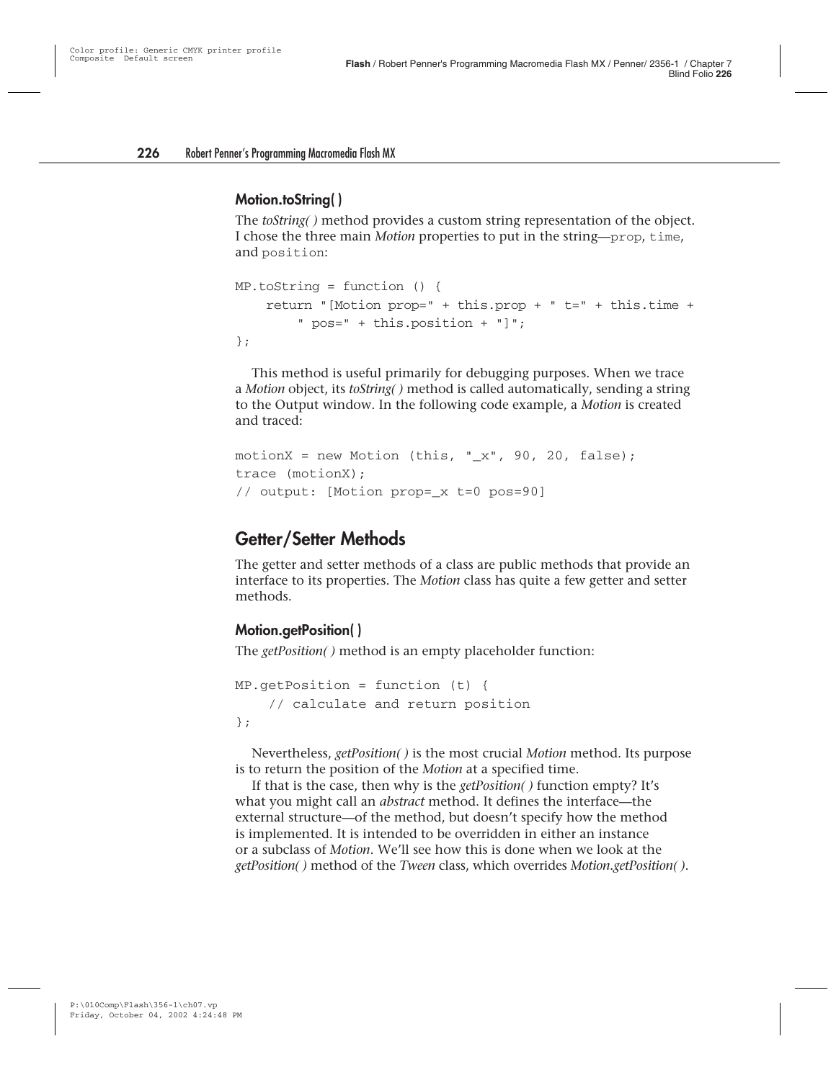#### **Motion.toString( )**

The *toString( )* method provides a custom string representation of the object. I chose the three main *Motion* properties to put in the string—prop, time, and position:

```
MP.toString = function () {
    return "[Motion prop=" + this.prop + " t=" + this.time +
        " pos=" + this.position + "]";
};
```
This method is useful primarily for debugging purposes. When we trace a *Motion* object, its *toString( )* method is called automatically, sending a string to the Output window. In the following code example, a *Motion* is created and traced:

```
motionX = new Motion (this, "_x", 90, 20, false);
trace (motionX);
// output: [Motion prop=_x t=0 pos=90]
```
#### **Getter/Setter Methods**

The getter and setter methods of a class are public methods that provide an interface to its properties. The *Motion* class has quite a few getter and setter methods.

#### **Motion.getPosition( )**

The *getPosition( )* method is an empty placeholder function:

```
MP.getPosition = function (t) {
    // calculate and return position
};
```
Nevertheless, *getPosition( )* is the most crucial *Motion* method. Its purpose is to return the position of the *Motion* at a specified time.

If that is the case, then why is the *getPosition( )* function empty? It's what you might call an *abstract* method. It defines the interface—the external structure—of the method, but doesn't specify how the method is implemented. It is intended to be overridden in either an instance or a subclass of *Motion*. We'll see how this is done when we look at the *getPosition( )* method of the *Tween* class, which overrides *Motion.getPosition( )*.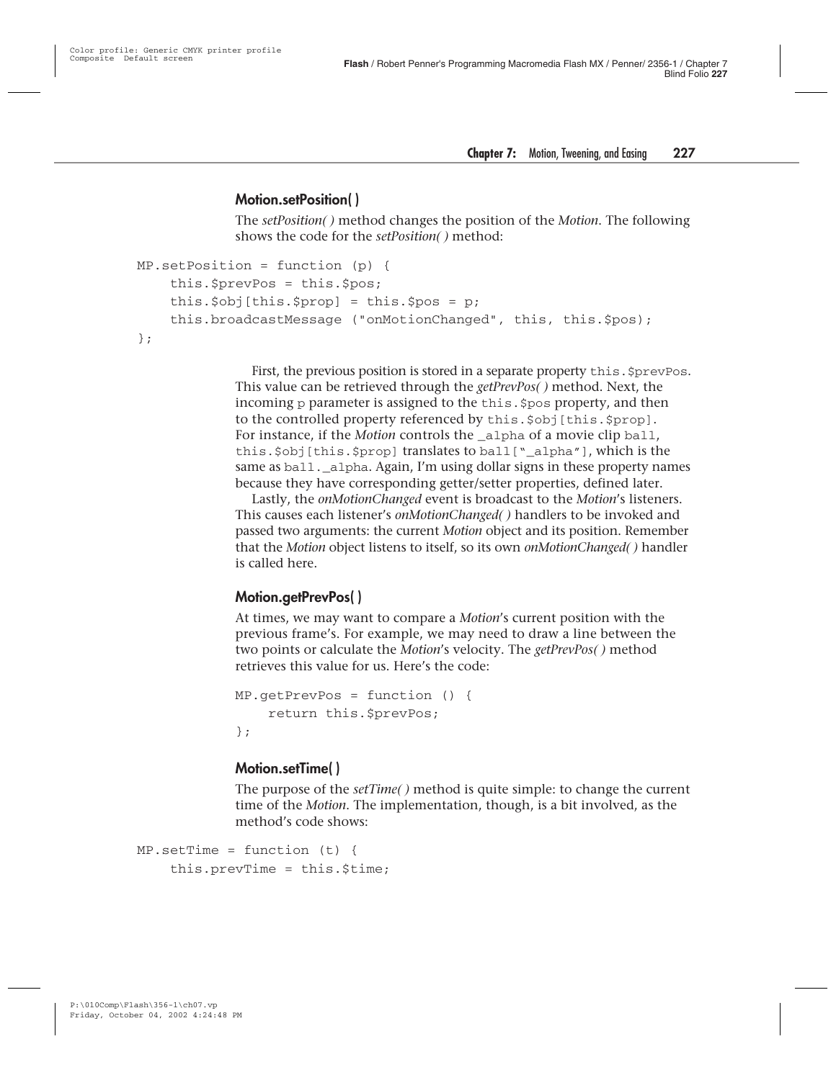#### **Motion.setPosition( )**

The *setPosition( )* method changes the position of the *Motion*. The following shows the code for the *setPosition( )* method:

```
MP.setPosition = function (p) {
    this.$prevPos = this.$pos;
    this.$obj[this.$prop] = this.$pos = p;
    this.broadcastMessage ("onMotionChanged", this, this.$pos);
};
```
First, the previous position is stored in a separate property this. \$prevPos. This value can be retrieved through the *getPrevPos( )* method. Next, the incoming p parameter is assigned to the this. \$pos property, and then to the controlled property referenced by this.\$obj[this.\$prop]. For instance, if the *Motion* controls the alpha of a movie clip ball, this.\$obj[this.\$prop] translates to ball["\_alpha"], which is the same as ball. alpha. Again, I'm using dollar signs in these property names because they have corresponding getter/setter properties, defined later.

Lastly, the *onMotionChanged* event is broadcast to the *Motion*'s listeners. This causes each listener's *onMotionChanged( )* handlers to be invoked and passed two arguments: the current *Motion* object and its position. Remember that the *Motion* object listens to itself, so its own *onMotionChanged( )* handler is called here.

#### **Motion.getPrevPos( )**

At times, we may want to compare a *Motion*'s current position with the previous frame's. For example, we may need to draw a line between the two points or calculate the *Motion*'s velocity. The *getPrevPos( )* method retrieves this value for us. Here's the code:

```
MP.getPrevPos = function () {
    return this.$prevPos;
};
```
#### **Motion.setTime( )**

The purpose of the *setTime( )* method is quite simple: to change the current time of the *Motion*. The implementation, though, is a bit involved, as the method's code shows:

```
MP.setTime = function (t) {
    this.prevTime = this.$time;
```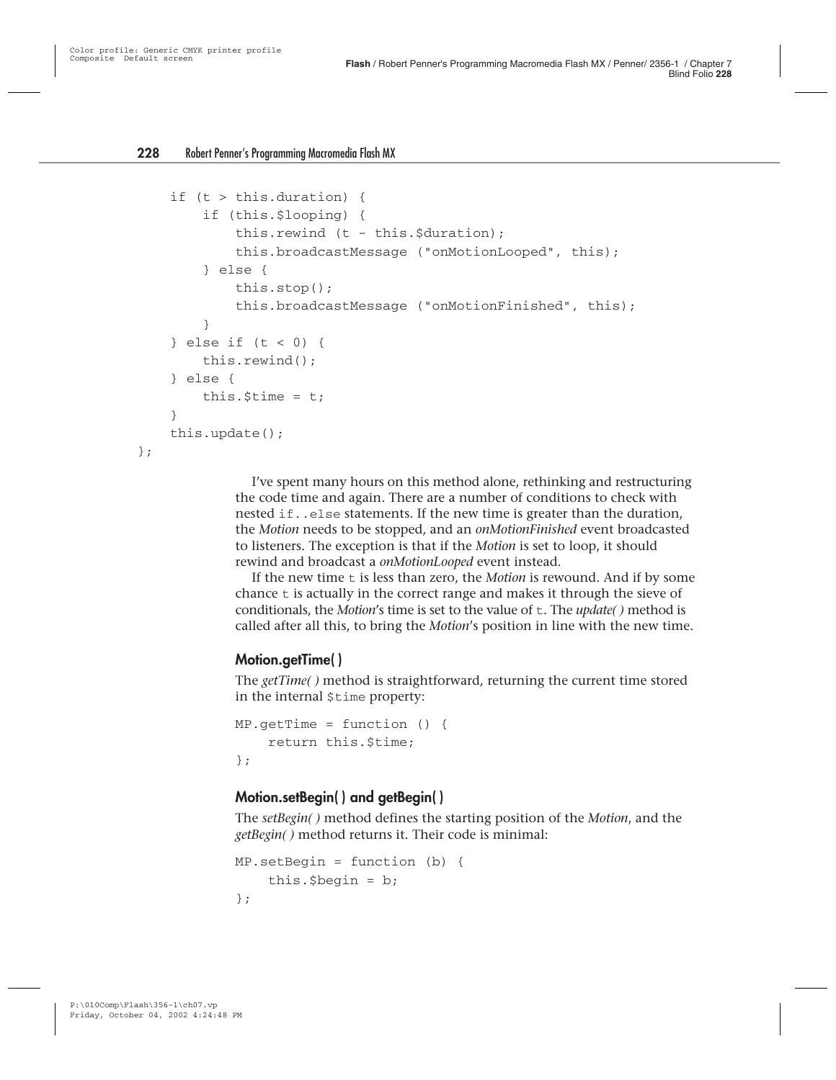};

```
if (t > this.duration) {
    if (this.$looping) {
        this.rewind (t - this.$duration);
        this.broadcastMessage ("onMotionLooped", this);
    } else {
        this.stop();
        this.broadcastMessage ("onMotionFinished", this);
    }
} else if (t < 0) {
    this.rewind();
} else {
    this. $time = t;}
this.update();
```
I've spent many hours on this method alone, rethinking and restructuring the code time and again. There are a number of conditions to check with nested if..else statements. If the new time is greater than the duration, the *Motion* needs to be stopped, and an *onMotionFinished* event broadcasted to listeners. The exception is that if the *Motion* is set to loop, it should rewind and broadcast a *onMotionLooped* event instead.

If the new time t is less than zero, the *Motion* is rewound. And if by some chance  $t$  is actually in the correct range and makes it through the sieve of conditionals, the *Motion*'s time is set to the value of t. The *update( )* method is called after all this, to bring the *Motion*'s position in line with the new time.

#### **Motion.getTime( )**

The *getTime( )* method is straightforward, returning the current time stored in the internal \$time property:

```
MP.getTime = function ()return this.$time;
};
```
#### **Motion.setBegin( ) and getBegin( )**

The *setBegin( )* method defines the starting position of the *Motion*, and the *getBegin( )* method returns it. Their code is minimal:

```
MP.setBegin = function (b) {
    this.$begin = b;
};
```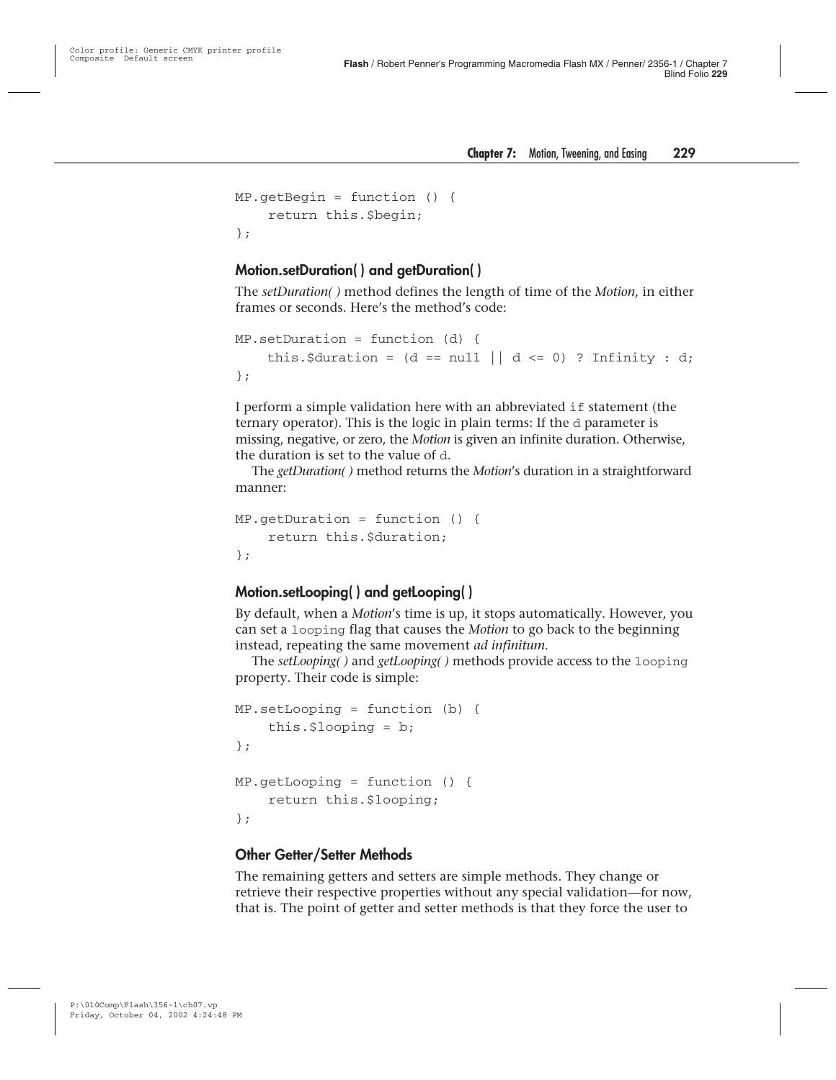```
MP.getBegin = function () {
    return this.$begin;
};
```
#### **Motion.setDuration( ) and getDuration( )**

The *setDuration( )* method defines the length of time of the *Motion*, in either frames or seconds. Here's the method's code:

```
MP.setDuration = function (d) {
    this.$duration = (d == null || d <= 0) ? Infinity : d;
};
```
I perform a simple validation here with an abbreviated if statement (the ternary operator). This is the logic in plain terms: If the d parameter is missing, negative, or zero, the *Motion* is given an infinite duration. Otherwise, the duration is set to the value of d.

The *getDuration( )* method returns the *Motion*'s duration in a straightforward manner:

```
MP.getDuration = function () {
    return this.$duration;
};
```
#### **Motion.setLooping( ) and getLooping( )**

By default, when a *Motion*'s time is up, it stops automatically. However, you can set a looping flag that causes the *Motion* to go back to the beginning instead, repeating the same movement *ad infinitum*.

The *setLooping( )* and *getLooping( )* methods provide access to the looping property. Their code is simple:

```
MP.setLooping = function (b) {
    this.$looping = b;
};
MP.getLooping = function () {
    return this.$looping;
};
```
#### **Other Getter/Setter Methods**

The remaining getters and setters are simple methods. They change or retrieve their respective properties without any special validation—for now, that is. The point of getter and setter methods is that they force the user to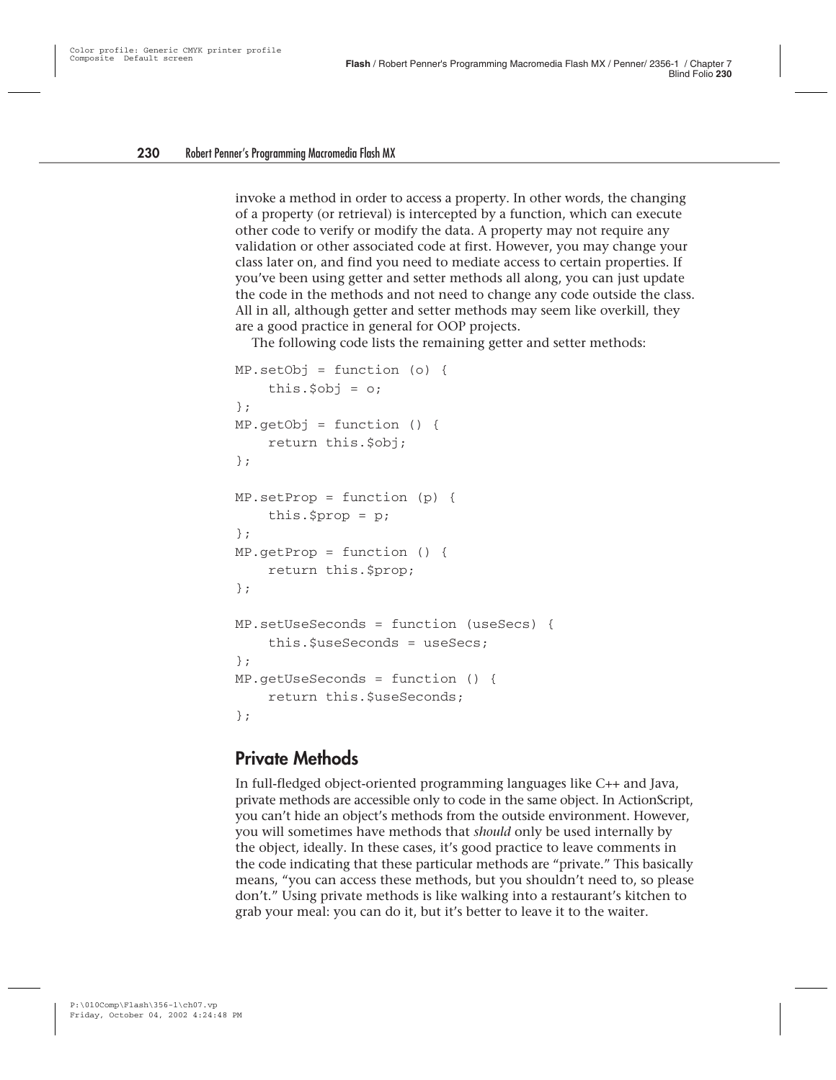invoke a method in order to access a property. In other words, the changing of a property (or retrieval) is intercepted by a function, which can execute other code to verify or modify the data. A property may not require any validation or other associated code at first. However, you may change your class later on, and find you need to mediate access to certain properties. If you've been using getter and setter methods all along, you can just update the code in the methods and not need to change any code outside the class. All in all, although getter and setter methods may seem like overkill, they are a good practice in general for OOP projects.

The following code lists the remaining getter and setter methods:

```
MP.setObj = function (o) {
    this.$obj = o;};
MP.getObj = function () {
    return this.$obj;
};
MP.setProp = function (p) {
    this.$prop = p;
};
MP.getProp = function () {
    return this.$prop;
};
MP.setUseSeconds = function (useSecs) {
    this.$useSeconds = useSecs;
};
MP.getUseSeconds = function () {
    return this. SuseSeconds:
};
```
#### **Private Methods**

In full-fledged object-oriented programming languages like C++ and Java, private methods are accessible only to code in the same object. In ActionScript, you can't hide an object's methods from the outside environment. However, you will sometimes have methods that *should* only be used internally by the object, ideally. In these cases, it's good practice to leave comments in the code indicating that these particular methods are "private." This basically means, "you can access these methods, but you shouldn't need to, so please don't." Using private methods is like walking into a restaurant's kitchen to grab your meal: you can do it, but it's better to leave it to the waiter.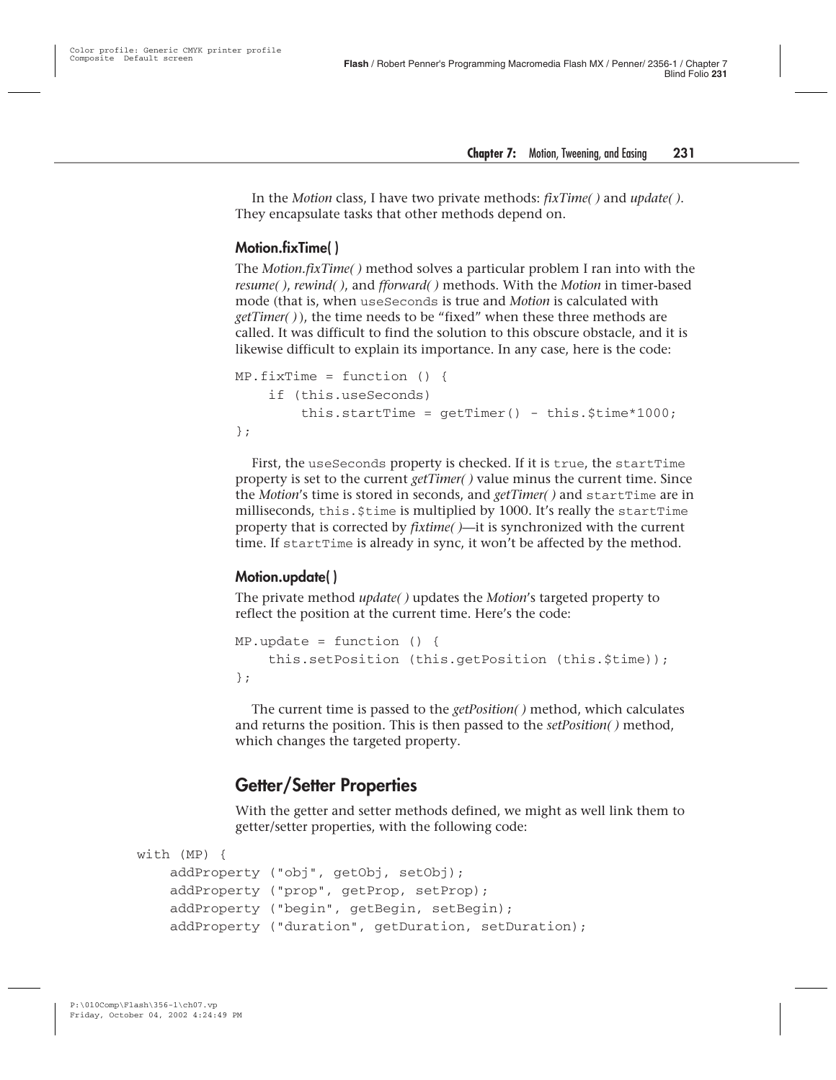In the *Motion* class, I have two private methods: *fixTime( )* and *update( )*. They encapsulate tasks that other methods depend on.

#### **Motion.fixTime( )**

The *Motion.fixTime( )* method solves a particular problem I ran into with the *resume( )*, *rewind( )*, and *fforward( )* methods. With the *Motion* in timer-based mode (that is, when useSeconds is true and *Motion* is calculated with *getTimer( )* ), the time needs to be "fixed" when these three methods are called. It was difficult to find the solution to this obscure obstacle, and it is likewise difficult to explain its importance. In any case, here is the code:

```
MP.fixTime = function ()if (this.useSeconds)
        this.startTime = qetTimer() - this.$time*1000;
};
```
First, the useSeconds property is checked. If it is true, the startTime property is set to the current *getTimer( )* value minus the current time. Since the *Motion*'s time is stored in seconds, and *getTimer( )* and startTime are in milliseconds, this.  $$time$  is multiplied by 1000. It's really the startTime property that is corrected by *fixtime( )*—it is synchronized with the current time. If startTime is already in sync, it won't be affected by the method.

#### **Motion.update( )**

The private method *update( )* updates the *Motion*'s targeted property to reflect the position at the current time. Here's the code:

```
MP.update = function ()this.setPosition (this.getPosition (this.$time));
};
```
The current time is passed to the *getPosition( )* method, which calculates and returns the position. This is then passed to the *setPosition( )* method, which changes the targeted property.

#### **Getter/Setter Properties**

With the getter and setter methods defined, we might as well link them to getter/setter properties, with the following code:

```
with (MP) {
    addProperty ("obj", getObj, setObj);
    addProperty ("prop", getProp, setProp);
    addProperty ("begin", getBegin, setBegin);
    addProperty ("duration", getDuration, setDuration);
```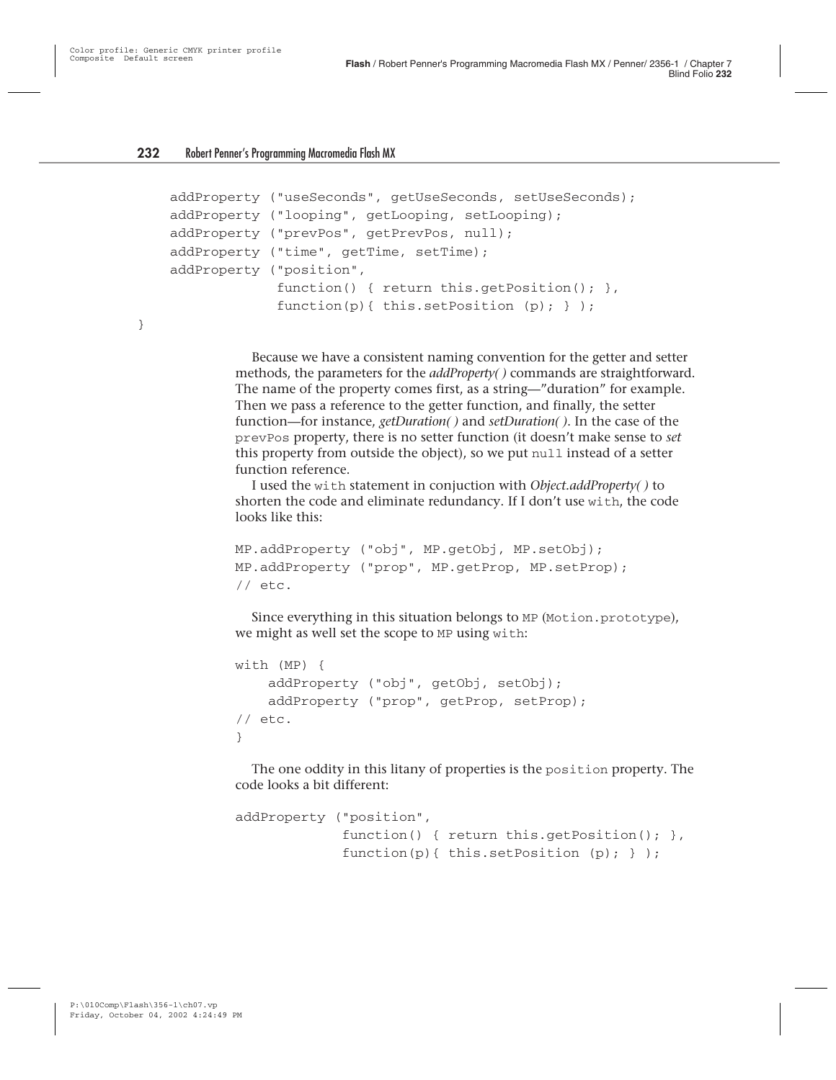}

```
addProperty ("useSeconds", getUseSeconds, setUseSeconds);
addProperty ("looping", getLooping, setLooping);
addProperty ("prevPos", getPrevPos, null);
addProperty ("time", getTime, setTime);
addProperty ("position",
             function() { return this.getPosition(); },
             function(p){ this.setPosition (p); } );
```
Because we have a consistent naming convention for the getter and setter methods, the parameters for the *addProperty( )* commands are straightforward. The name of the property comes first, as a string—"duration" for example. Then we pass a reference to the getter function, and finally, the setter function—for instance, *getDuration( )* and *setDuration( )*. In the case of the prevPos property, there is no setter function (it doesn't make sense to *set* this property from outside the object), so we put null instead of a setter function reference.

I used the with statement in conjuction with *Object.addProperty( )* to shorten the code and eliminate redundancy. If I don't use with, the code looks like this:

```
MP.addProperty ("obj", MP.getObj, MP.setObj);
MP.addProperty ("prop", MP.getProp, MP.setProp);
// etc.
```
Since everything in this situation belongs to MP (Motion.prototype), we might as well set the scope to MP using with:

```
with (MP) {
    addProperty ("obj", getObj, setObj);
    addProperty ("prop", getProp, setProp);
// etc.
}
```
The one oddity in this litany of properties is the position property. The code looks a bit different:

```
addProperty ("position",
             function() { return this.getPosition(); },
             function(p){ this.setPosition (p); } );
```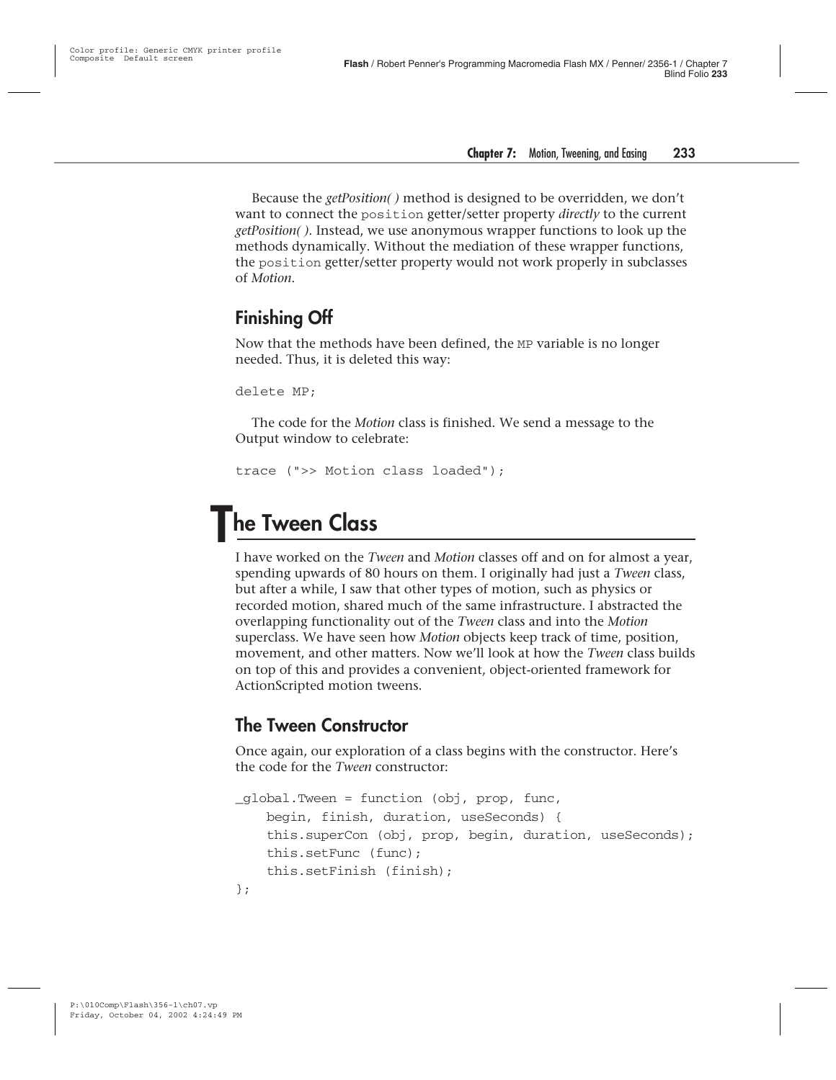Because the *getPosition( )* method is designed to be overridden, we don't want to connect the position getter/setter property *directly* to the current *getPosition( )*. Instead, we use anonymous wrapper functions to look up the methods dynamically. Without the mediation of these wrapper functions, the position getter/setter property would not work properly in subclasses of *Motion*.

#### **Finishing Off**

Now that the methods have been defined, the MP variable is no longer needed. Thus, it is deleted this way:

```
delete MP;
```
The code for the *Motion* class is finished. We send a message to the Output window to celebrate:

```
trace (">> Motion class loaded");
```
## **The Tween Class**

I have worked on the *Tween* and *Motion* classes off and on for almost a year, spending upwards of 80 hours on them. I originally had just a *Tween* class, but after a while, I saw that other types of motion, such as physics or recorded motion, shared much of the same infrastructure. I abstracted the overlapping functionality out of the *Tween* class and into the *Motion* superclass. We have seen how *Motion* objects keep track of time, position, movement, and other matters. Now we'll look at how the *Tween* class builds on top of this and provides a convenient, object-oriented framework for ActionScripted motion tweens.

#### **The Tween Constructor**

Once again, our exploration of a class begins with the constructor. Here's the code for the *Tween* constructor:

```
_global.Tween = function (obj, prop, func,
    begin, finish, duration, useSeconds) {
    this.superCon (obj, prop, begin, duration, useSeconds);
    this.setFunc (func);
    this.setFinish (finish);
};
```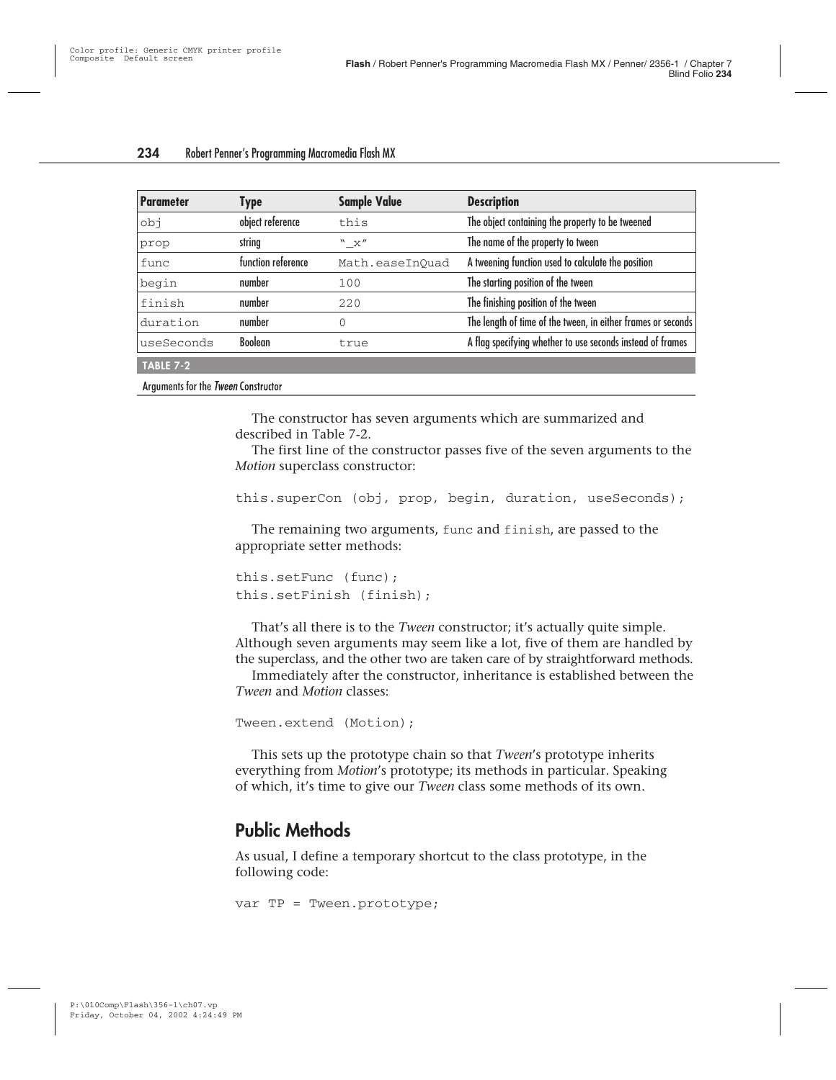| <b>Parameter</b> | <b>Type</b>        | <b>Sample Value</b> | <b>Description</b>                                           |
|------------------|--------------------|---------------------|--------------------------------------------------------------|
| ido              | object reference   | this                | The object containing the property to be tweened             |
| prop             | string             | "X"                 | The name of the property to tween                            |
| func             | function reference | Math.easeInOuad     | A tweening function used to calculate the position           |
| begin            | number             | 100                 | The starting position of the tween                           |
| finish           | number             | 220                 | The finishing position of the tween                          |
| duration         | number             | 0                   | The length of time of the tween, in either frames or seconds |
| useSeconds       | <b>Boolean</b>     | true                | A flag specifying whether to use seconds instead of frames   |
| TABLE 7-2        |                    |                     |                                                              |

Arguments for the Tween Constructor

The constructor has seven arguments which are summarized and described in Table 7-2.

The first line of the constructor passes five of the seven arguments to the *Motion* superclass constructor:

```
this.superCon (obj, prop, begin, duration, useSeconds);
```
The remaining two arguments, func and finish, are passed to the appropriate setter methods:

```
this.setFunc (func);
this.setFinish (finish);
```
That's all there is to the *Tween* constructor; it's actually quite simple. Although seven arguments may seem like a lot, five of them are handled by the superclass, and the other two are taken care of by straightforward methods.

Immediately after the constructor, inheritance is established between the *Tween* and *Motion* classes:

```
Tween.extend (Motion);
```
This sets up the prototype chain so that *Tween*'s prototype inherits everything from *Motion*'s prototype; its methods in particular. Speaking of which, it's time to give our *Tween* class some methods of its own.

#### **Public Methods**

As usual, I define a temporary shortcut to the class prototype, in the following code:

```
var TP = Tween.prototype;
```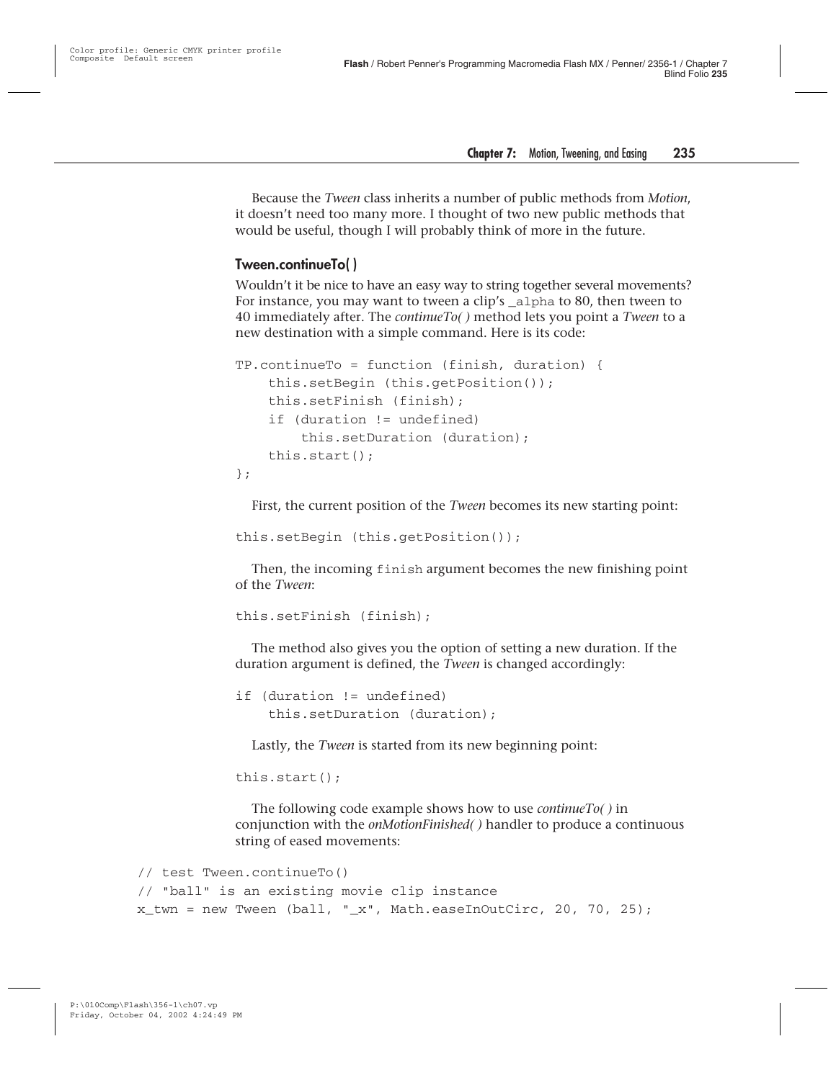Because the *Tween* class inherits a number of public methods from *Motion*, it doesn't need too many more. I thought of two new public methods that would be useful, though I will probably think of more in the future.

#### **Tween.continueTo( )**

Wouldn't it be nice to have an easy way to string together several movements? For instance, you may want to tween a clip's \_alpha to 80, then tween to 40 immediately after. The *continueTo( )* method lets you point a *Tween* to a new destination with a simple command. Here is its code:

```
TP.continueTo = function (finish, duration) {
    this.setBegin (this.getPosition());
    this.setFinish (finish);
    if (duration != undefined)
        this.setDuration (duration);
    this.start();
};
```
First, the current position of the *Tween* becomes its new starting point:

this.setBegin (this.getPosition());

Then, the incoming finish argument becomes the new finishing point of the *Tween*:

```
this.setFinish (finish);
```
The method also gives you the option of setting a new duration. If the duration argument is defined, the *Tween* is changed accordingly:

```
if (duration != undefined)
    this.setDuration (duration);
```
Lastly, the *Tween* is started from its new beginning point:

```
this.start();
```
The following code example shows how to use *continueTo( )* in conjunction with the *onMotionFinished( )* handler to produce a continuous string of eased movements:

```
// test Tween.continueTo()
// "ball" is an existing movie clip instance
x twn = new Tween (ball, "x", Math.easeInOutCirc, 20, 70, 25);
```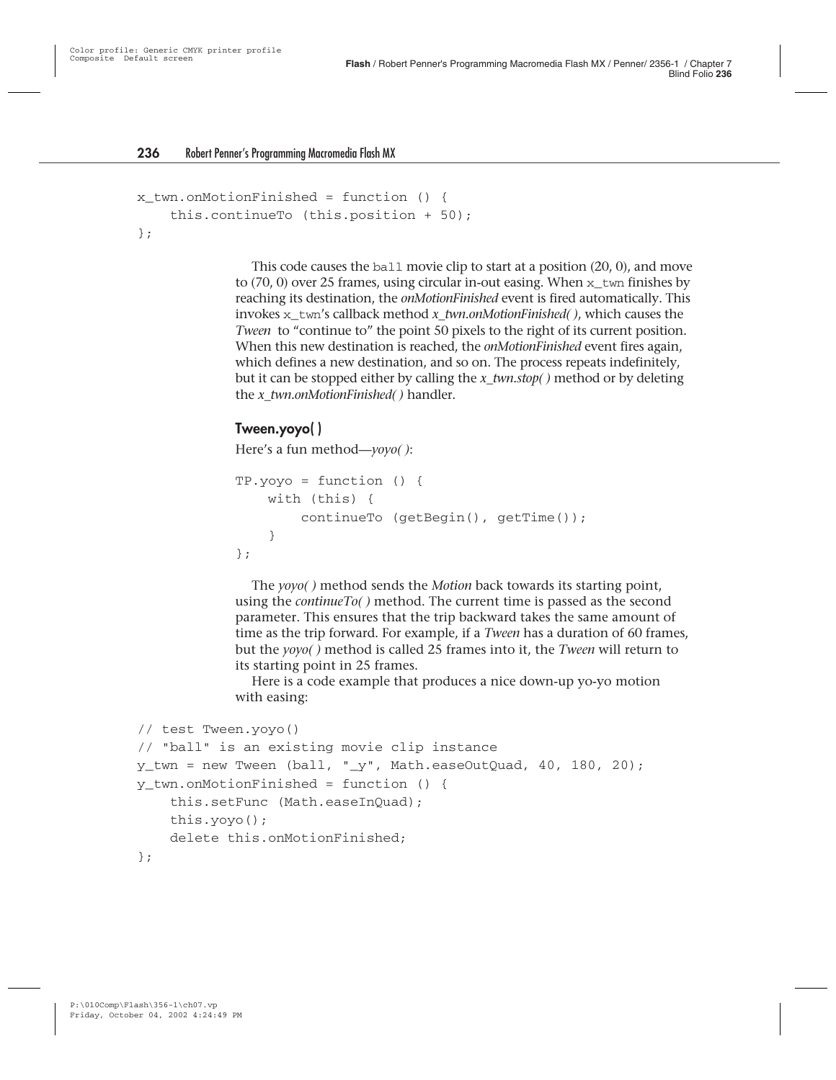```
x twn.onMotionFinished = function () {
    this.continueTo (this.position + 50);
};
```
This code causes the ball movie clip to start at a position (20, 0), and move to (70, 0) over 25 frames, using circular in-out easing. When  $x_{\text{t}}$  twn finishes by reaching its destination, the *onMotionFinished* event is fired automatically. This invokes x\_twn's callback method *x\_twn.onMotionFinished( )*, which causes the *Tween* to "continue to" the point 50 pixels to the right of its current position. When this new destination is reached, the *onMotionFinished* event fires again, which defines a new destination, and so on. The process repeats indefinitely, but it can be stopped either by calling the *x\_twn.stop( )* method or by deleting the *x\_twn.onMotionFinished( )* handler.

#### **Tween.yoyo( )**

Here's a fun method—*yoyo( )*:

```
TP.yoyo = function () {
    with (this) {
        continueTo (getBegin(), getTime());
    }
};
```
The *yoyo( )* method sends the *Motion* back towards its starting point, using the *continueTo( )* method. The current time is passed as the second parameter. This ensures that the trip backward takes the same amount of time as the trip forward. For example, if a *Tween* has a duration of 60 frames, but the *yoyo( )* method is called 25 frames into it, the *Tween* will return to its starting point in 25 frames.

Here is a code example that produces a nice down-up yo-yo motion with easing:

```
// test Tween.yoyo()
// "ball" is an existing movie clip instance
y_twn = new Tween (ball, "_y", Math.easeOutQuad, 40, 180, 20);
y_twn.onMotionFinished = function () {
    this.setFunc (Math.easeInQuad);
    this.yoyo();
    delete this.onMotionFinished;
};
```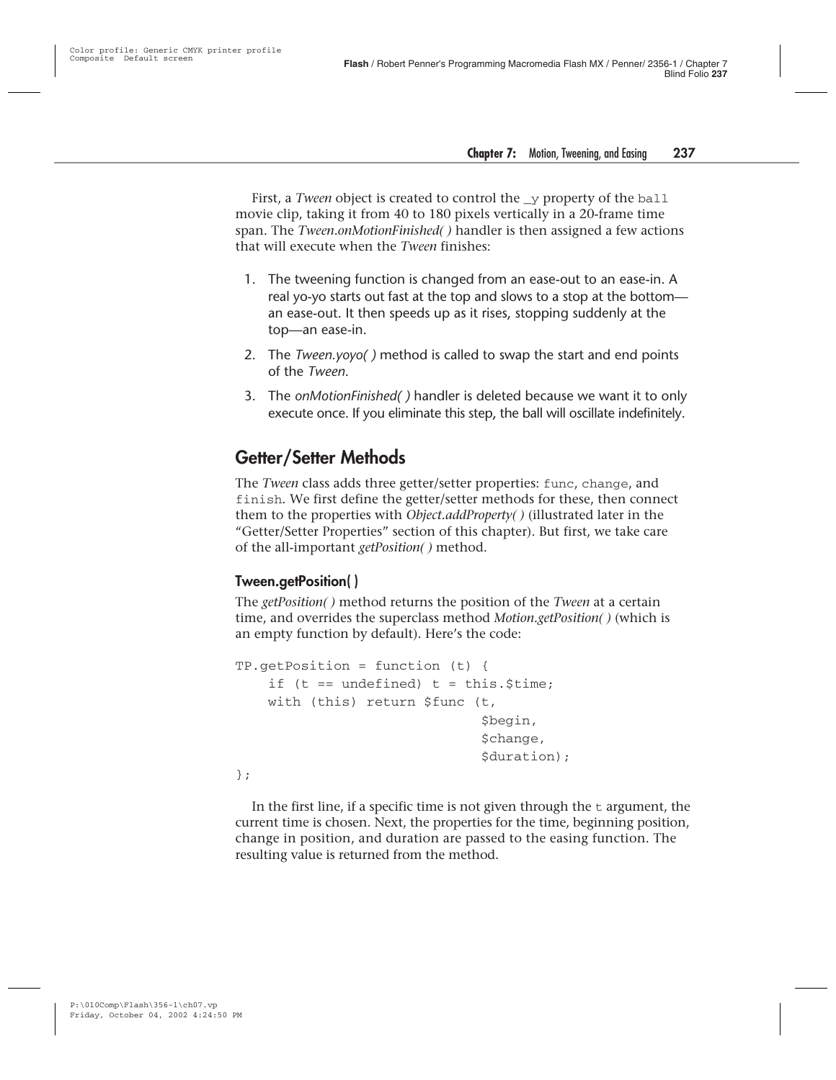First, a *Tween* object is created to control the y property of the ball movie clip, taking it from 40 to 180 pixels vertically in a 20-frame time span. The *Tween.onMotionFinished( )* handler is then assigned a few actions that will execute when the *Tween* finishes:

- 1. The tweening function is changed from an ease-out to an ease-in. A real yo-yo starts out fast at the top and slows to a stop at the bottom an ease-out. It then speeds up as it rises, stopping suddenly at the top—an ease-in.
- 2. The *Tween.yoyo( )* method is called to swap the start and end points of the *Tween*.
- 3. The *onMotionFinished( )* handler is deleted because we want it to only execute once. If you eliminate this step, the ball will oscillate indefinitely.

#### **Getter/Setter Methods**

The *Tween* class adds three getter/setter properties: func, change, and finish. We first define the getter/setter methods for these, then connect them to the properties with *Object.addProperty( )* (illustrated later in the "Getter/Setter Properties" section of this chapter). But first, we take care of the all-important *getPosition( )* method.

#### **Tween.getPosition( )**

The *getPosition( )* method returns the position of the *Tween* at a certain time, and overrides the superclass method *Motion.getPosition( )* (which is an empty function by default). Here's the code:

```
TP.getPosition = function (t) {
    if (t == undefined) t = this. $time;
    with (this) return $func (t,
                               $begin,
                               $change,
                               $duration);
```
};

In the first line, if a specific time is not given through the  $t$  argument, the current time is chosen. Next, the properties for the time, beginning position, change in position, and duration are passed to the easing function. The resulting value is returned from the method.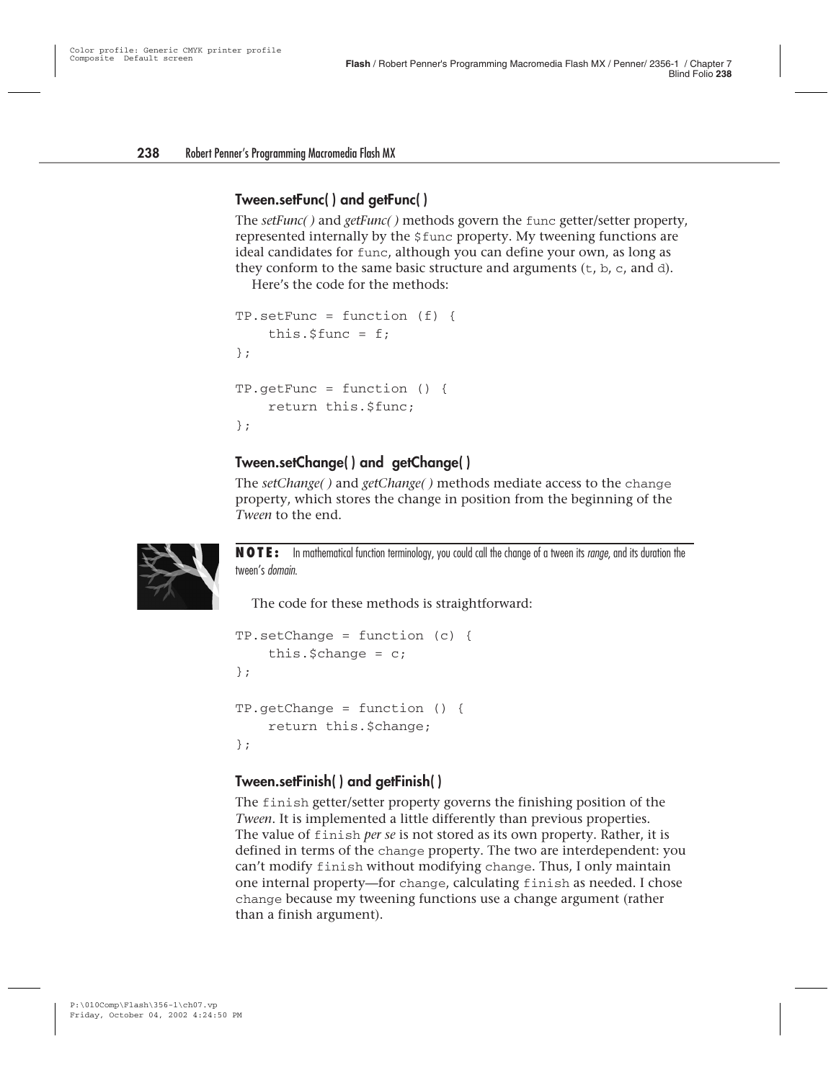#### **Tween.setFunc( ) and getFunc( )**

The *setFunc( )* and *getFunc( )* methods govern the func getter/setter property, represented internally by the \$func property. My tweening functions are ideal candidates for func, although you can define your own, as long as they conform to the same basic structure and arguments  $(t, b, c, and d)$ .

Here's the code for the methods:

```
TP.setFunc = function (f)this.$func = f;};
TP.getFunc = function () {
   return this.$func;
};
```
#### **Tween.setChange( ) and getChange( )**

The *setChange( )* and *getChange( )* methods mediate access to the change property, which stores the change in position from the beginning of the *Tween* to the end.



**NOTE:** In mathematical function terminology, you could call the change of a tween its range, and its duration the tween's domain.

The code for these methods is straightforward:

```
TP.setChange = function (c) {
    this.$change = c;};
TP.getChange = function () {
    return this.$change;
};
```
#### **Tween.setFinish( ) and getFinish( )**

The finish getter/setter property governs the finishing position of the *Tween*. It is implemented a little differently than previous properties. The value of finish *per se* is not stored as its own property. Rather, it is defined in terms of the change property. The two are interdependent: you can't modify finish without modifying change. Thus, I only maintain one internal property—for change, calculating finish as needed. I chose change because my tweening functions use a change argument (rather than a finish argument).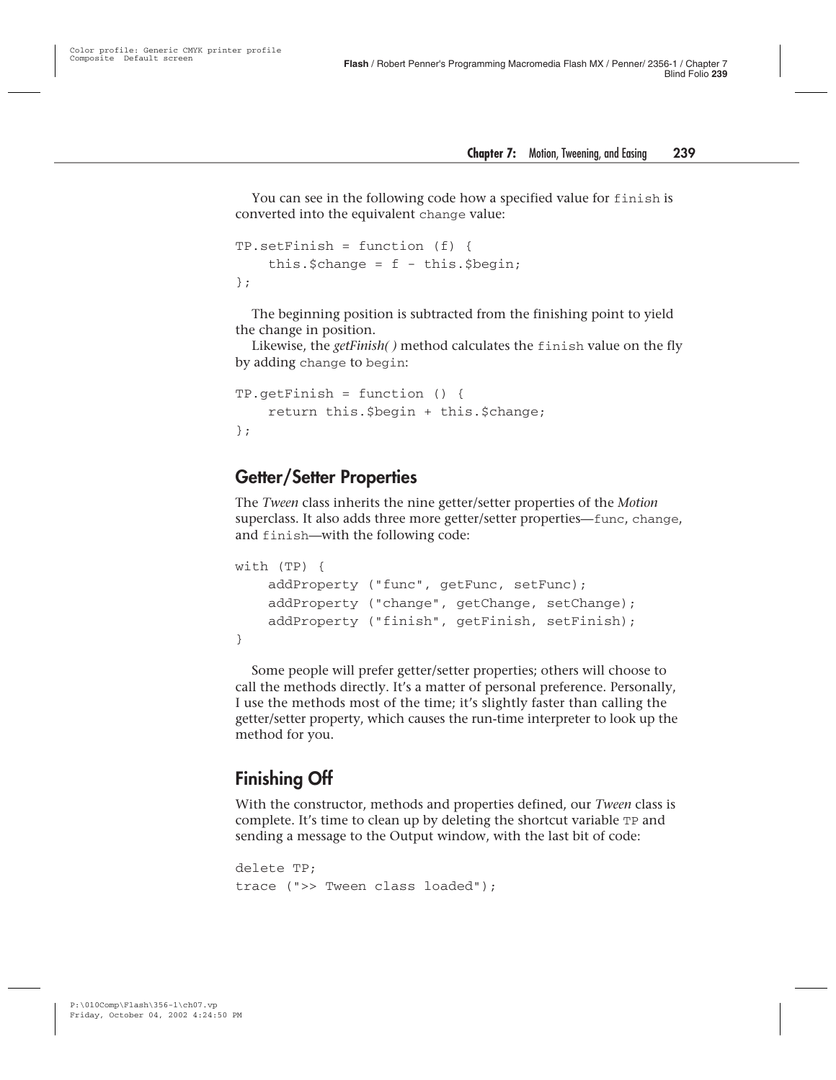You can see in the following code how a specified value for finish is converted into the equivalent change value:

```
TP.setFinish = function (f) {
    this. $change = f - this.$begin;
};
```
The beginning position is subtracted from the finishing point to yield the change in position.

Likewise, the *getFinish( )* method calculates the finish value on the fly by adding change to begin:

```
TP.getFinish = function () {
    return this.$begin + this.$change;
};
```
#### **Getter/Setter Properties**

The *Tween* class inherits the nine getter/setter properties of the *Motion* superclass. It also adds three more getter/setter properties—func, change, and finish—with the following code:

```
with (TP) {
    addProperty ("func", getFunc, setFunc);
    addProperty ("change", getChange, setChange);
    addProperty ("finish", getFinish, setFinish);
}
```
Some people will prefer getter/setter properties; others will choose to call the methods directly. It's a matter of personal preference. Personally, I use the methods most of the time; it's slightly faster than calling the getter/setter property, which causes the run-time interpreter to look up the method for you.

#### **Finishing Off**

With the constructor, methods and properties defined, our *Tween* class is complete. It's time to clean up by deleting the shortcut variable TP and sending a message to the Output window, with the last bit of code:

```
delete TP;
trace (">> Tween class loaded");
```